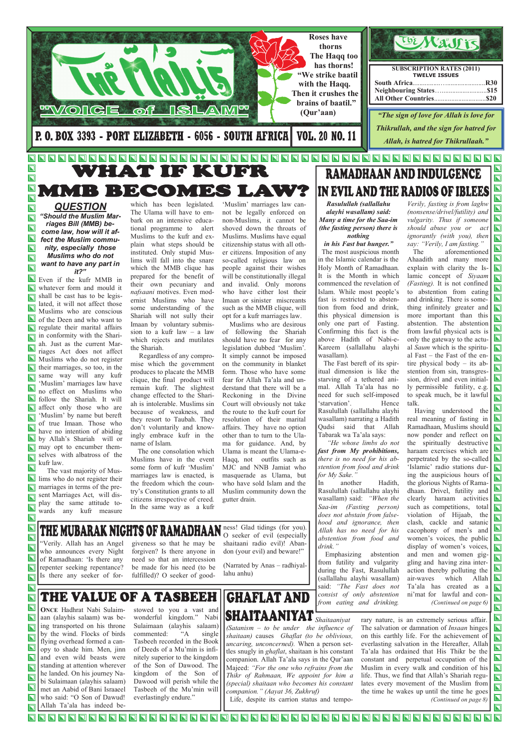**GHAFLAT AND SHAITAANIYAT** Shaitaaniyat (Satanism  $-$  to be under the influence of shaitaan) causes Ghaflat (to be oblivious, uncaring, unconcerned). When a person settles snugly in ghaflat, shaitaan is his constant companion. Allah Ta'ala says in the Qur'aan Majeed: "For the one who refrains from the Thikr of Rahmaan, We appoint for him a (special) shaitaan who becomes his constant

companion." (Aayat 36, Zukhruf) Life, despite its carrion status and temporary nature, is an extremely serious affair. The salvation or damnation of *Insaan* hinges on this earthly life. For the achievement of everlasting salvation in the Hereafter, Allah Ta'ala has ordained that His Thikr be the constant and perpetual occupation of the Muslim in every walk and condition of his life. Thus, we find that Allah's Shariah regulates every movement of the Muslim from the time he wakes up until the time he goes (Continued on page 8)

### <u> de la de la de la de la del de la de la de la de la de la de la de la de la de la de la de la de la de la de</u>  $\blacksquare$

**QUESTION** "Should the Muslim Marriages Bill (MMB) become law, how will it affect the Muslim community, especially those Muslims who do not want to have any part in it?"

 $\overline{\mathbf{N}}$  $\overline{\mathbf{N}}$ 

 $\overline{\mathbf{N}}$ 

 $\overline{\mathbf{N}}$  $\overline{\mathbf{N}}$ 

 $\overline{\mathbf{N}}$ 

 $\overline{\mathbf{z}}$ Even if the kufr MMB in whatever form and mould it  $\overline{\mathbf{\Sigma}}$ shall be cast has to be legislated, it will not affect those  $\blacksquare$ Muslims who are conscious  $\blacksquare$ of the Deen and who want to regulate their marital affairs in conformity with the Shariah. Just as the current Mar- $\overline{\blacksquare}$ riages Act does not affect  $\blacksquare$  Muslims who do not register their marriages, so too, in the same way will any kufr  $\overline{\bm{\mathsf{N}}}$ 'Muslim' marriages law have no effect on Muslims who  $\blacksquare$ follow the Shariah. It will affect only those who are  $\boldsymbol{\nabla}$ 'Muslim' by name but bereft of true Imaan. Those who have no intention of abiding by Allah's Shariah will or may opt to encumber them- $\boldsymbol{\nabla}$ selves with albatross of the  $\overline{\bm{\mathsf{N}}}$ kufr law.  $\overline{\mathbf{N}}$ The vast majority of Mus-

 $\blacksquare$ lims who do not register their  $\overline{\bm{\mathsf{N}}}$ marriages in terms of the present Marriages Act, will dis- $\overline{\bm{\mathsf{N}}}$ play the same attitude towards any kufr measure  $\overline{\mathbf{N}}$ 

 $\blacktriangleright$ 

 $\blacksquare$ 

 $\overline{\mathbf{L}}$ 

 $\overline{\mathbf{N}}$ 

 $\overline{\mathbf{N}}$ 

 $\overline{\mathbf{N}}$ 

 $\overline{\mathbf{N}}$ 

 $\overline{\mathbf{N}}$  $\overline{\mathbf{N}}$ 

 $\overline{\mathbf{N}}$ 

 $\blacksquare$ 

 $\overline{\mathbf{N}}$ 



# IN EVIL AND THE RADIOS OF IBLEES Rasulullah (sallallahu

which has been legislated. The Ulama will have to embark on an intensive educational programme to alert Muslims to the kufr and explain what steps should be instituted. Only stupid Muslims will fall into the snare which the MMB clique has prepared for the benefit of their own pecuniary and nafsaani motives. Even modernist Muslims who have some understanding of the Shariah will not sully their Imaan by voluntary submission to a kufr law – a law which rejects and mutilates the Shariah.

> "He whose limbs do not fast from My prohibitions, there is no need for his abstention from food and drink for My Sake."

Verily, fasting is from laghw (nonsense/drivel/futility) and vulgarity. Thus if someone should abuse you or act ignorantly (with you), then say: "Verily, I am fasting."

 Regardless of any compromise which the government produces to placate the MMB clique, the final product will remain kufr. The slightest change effected to the Shariah is intolerable. Muslims sin because of weakness, and they resort to Taubah. They don't voluntarily and knowingly embrace kufr in the name of Islam.

 The one consolation which Muslims have in the event some form of kufr 'Muslim' marriages law is enacted, is the freedom which the country's Constitution grants to all citizens irrespective of creed. In the same way as a kufr

'Muslim' marriages law cannot be legally enforced on non-Muslims, it cannot be shoved down the throats of Muslims. Muslims have equal citizenship status with all other citizens. Imposition of any so-called religious law on people against their wishes will be constitutionally illegal and invalid. Only morons who have either lost their Imaan or sinister miscreants such as the MMB clique, will opt for a kufr marriages law. Muslims who are desirous

 $\mathbf \Xi$ Is there any seeker of for-

### AN ness! Glad tidings (for you). THE MUBARAK NIGHTS OF RAMADHA O seeker of evil (especially

of following the Shariah should have no fear for any legislation dubbed 'Muslim'. It simply cannot be imposed on the community in blanket form. Those who have some fear for Allah Ta'ala and understand that there will be a Reckoning in the Divine Court will obviously not take the route to the kufr court for resolution of their marital affairs. They have no option other than to turn to the Ulama for guidance. And, by Ulama is meant the Ulama-e-Haqq, not outfits such as MJC and NNB Jamiat who masquerade as Ulama, but who have sold Islam and the Muslim community down the gutter drain.

alayhi wasallam) said: Many a time for the Saa-im (the fasting person) there is

nothing

in his Fast but hunger." The most auspicious month in the Islamic calendar is the Holy Month of Ramadhaan. It is the Month in which commenced the revelation of Islam. While most people's fast is restricted to abstention from food and drink, this physical dimension is only one part of Fasting. Confirming this fact is the above Hadith of Nabi-e-Kareem (sallallahu alayhi wasallam).

 The Fast bereft of its spiritual dimension is like the starving of a tethered animal. Allah Ta'ala has no need for such self-imposed 'starvation'. Hence Rasulullah (sallallahu alayhi wasallam) narrating a Hadith Qudsi said that Allah Tabarak wa Ta'ala says:

In another Hadith, Rasulullah (sallallahu alayhi wasallam) said: "When the Saa-im (Fasting person) does not abstain from falsehood and ignorance, then Allah has no need for his abstention from food and drink."

 Emphasizing abstention from futility and vulgarity during the Fast, Rasulullah (sallallahu alayhi wasallam) said: "The Fast does not consist of only abstention from eating and drinking.

 The aforementioned Ahaadith and many more explain with clarity the Islamic concept of Siyaam (Fasting). It is not confined to abstention from eating and drinking. There is something infinitely greater and more important than this abstention. The abstention from lawful physical acts is only the gateway to the actual Saum which is the spiritual Fast – the Fast of the entire physical body – its abstention from sin, transgression, drivel and even initially permissible futility, e.g. to speak much, be it lawful talk.

 Having understood the real meaning of fasting in Ramadhaan, Muslims should  $\overline{\mathbf{N}}$ now ponder and reflect on the spiritually destructive haraam exercises which are perpetrated by the so-called 'Islamic' radio stations during the auspicious hours of the glorious Nights of Ramadhaan. Drivel, futility and clearly haraam activities such as competitions, total violation of Hijaab, the clash, cackle and satanic cacophony of men's and women's voices, the public display of women's voices, and men and women giggling and having zina interaction thereby polluting the air-waves which Allah Ta'ala has created as a ni'mat for lawful and con- (Continued on page 6)

 $\overline{\mathbf{N}}$  $\overline{\mathbf{N}}$ 

 $\blacksquare$ 

 $\overline{\mathbf{N}}$  $\overline{\mathbf{N}}$ 

 $\bm \Xi$ 

 $\overline{\mathbf{N}}$  $\boldsymbol{\mathsf{Z}}$  $\overline{\bm{\mathsf{N}}}$ 

 $\overline{\mathbf{N}}$ 

 $\overline{\mathbf{\Sigma}}$  $\mathbf{\Sigma}$ 

 $\overline{\mathbf{N}}$ 

 $\boldsymbol{\overline{\mathbf{N}}}$  $\blacksquare$ 

 $\overline{\mathbf{u}}$  $\overline{\mathbf{N}}$  $\overline{\mathbf{u}}$ 

 $\overline{\mathbf{\Sigma}}$  $\overline{\mathbf{N}}$  $\overline{\mathbf{z}}$ 

 $\bm \Xi$ 

 $\overline{\mathbf{u}}$ 

 $\overline{\mathbf{N}}$  $\overline{\bm{\mathsf{N}}}$ 

 $\overline{\mathbf{N}}$ 

 $\overline{\mathbf{N}}$  $\overline{\mathbf{N}}$ 

 $\overline{\mathbf{N}}$ 

 $\blacksquare$  $\overline{\mathbf{N}}$  $\overline{\mathbf{N}}$ 

 $\blacksquare$ 

 $\overline{\mathbf{N}}$  $\overline{\mathbf{N}}$  $\overline{\mathbf{N}}$ 

 $\mathbf{\Sigma}$ 

 $\mathbf \Xi$ 

 $\overline{\mathbf{N}}$ 

 $\boldsymbol{\overline{\mathbf{N}}}$ 

 $\mathbf{\Sigma}$ 

 $\overline{\mathbf{N}}$  $\overline{\mathbf{\Sigma}}$  $\overline{\bm{\mathsf{N}}}$  $\overline{\mathbf{\Sigma}}$ 

 $\mathbf{\overline{N}}$ 

 $\overline{\mathbf{N}}$  $\overline{\mathbf{\Sigma}}$ 

 $\overline{\mathbf{u}}$ 

 $\bm{\boxn}$ 

"Verily. Allah has an Angel who announces every Night of Ramadhaan: 'Is there any

repenter seeking repentance? be made for his need (to be giveness so that he may be forgiven? Is there anyone in need so that an intercession fulfilled)? O seeker of good-

shaitaani radio evil)! Abandon (your evil) and beware!"

Narrated by Anas – radhiyal-

lahu anhu)

# THE VALUE OF A TASBEEH

ONCE Hadhrat Nabi Sulaimaan (alayhis salaam) was being transported on his throne by the wind. Flocks of birds flying overhead formed a canopy to shade him. Men, jinn and even wild beasts were standing at attention wherever he landed. On his journey Nabi Sulaimaan (alayhis salaam) met an Aabid of Bani Israaeel who said: "O Son of Dawud! Allah Ta'ala has indeed be-

stowed to you a vast and wonderful kingdom." Nabi Sulaimaan (alayhis salaam) commented: "A single Tasbeeh recorded in the Book of Deeds of a Mu'min is infinitely superior to the kingdom of the Son of Dawood. The kingdom of the Son of Dawood will perish while the Tasbeeh of the Mu'min will everlastingly endure."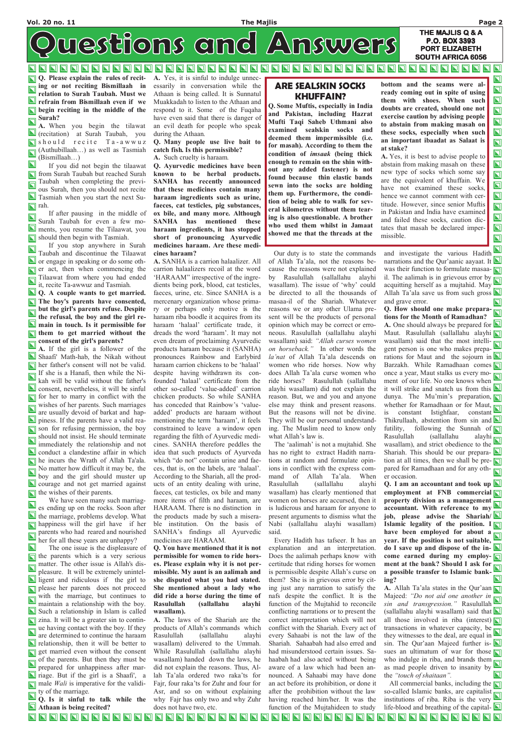### Vol. 20 no. 11 The Majlis Page 2

 $\boldsymbol{\Sigma}$  $\overline{\mathbf{u}}$  $\overline{\mathbf{u}}$  $\overline{\mathbf{N}}$  $\boldsymbol{\Xi}$  $\bm{\boxn}$  $\overline{\bm{\mathsf{u}}}$  $\overline{\mathbf{\Sigma}}$ 

 $\overline{\blacksquare}$  $\overline{\bm{\mathsf{u}}}$  $\overline{\mathbf{z}}$  $\overline{\mathbf{u}}$  $\overline{\mathbf{N}}$  $\blacksquare$  $\overline{\mathbf{z}}$  $\overline{\mathbf{u}}$ 

### THE MAJLIS Q & A P.O. BOX 3393 PORT ELIZABETH SOUTH AFRICA 6056

westions and Answers

### <u>NNNNNNNNNN</u> **N N N N N N N N N NN HNN HNN HN**  $\blacksquare$ **NNN**  $\blacksquare$ NN  $\blacksquare$ N  $\blacksquare$ N N

**Q.** Please explain the rules of reciting or not reciting Bismillaah in relation to Surah Taubah. Must we refrain from Bismillaah even if we **begin reciting in the middle of the** Surah?

 If after pausing in the middle of Surah Taubah for even a few moments, you resume the Tilaawat, you should then begin with Tasmiah.

A. When you begin the tilawat (recitation) at Surah Taubah, you  $\Box$  should recite Ta-awwuz (Authubillaah...) as well as Tasmiah (Bismillaah…)

 $\blacksquare$  If you did not begin the tilaawat **Figure 1** from Surah Taubah but reached Surah  $\Box$  Taubah when completing the previous Surah, then you should not recite Tasmiah when you start the next Su- $\boxed{\blacksquare}$  rah.

**Q.** A couple wants to get married. The boy's parents have consented, but the girl's parents refuse. Despite  $\blacksquare$ the refusal, the boy and the girl re-**N** main in touch. Is it permissible for **In them to get married without the** consent of the girl's parents?

A. If the girl is a follower of the Shaafi' Math-hab, the Nikah without her father's consent will not be valid. If she is a Hanafi, then while the Nikah will be valid without the father's **N** consent, nevertheless, it will be sinful  $\Box$  for her to marry in conflict with the wishes of her parents. Such marriages are usually devoid of barkat and happiness. If the parents have a valid reason for refusing permission, the boy should not insist. He should terminate immediately the relationship and not **N** conduct a clandestine affair in which he incurs the Wrath of Allah Ta'ala. No matter how difficult it may be, the boy and the girl should muster up **N** courage and not get married against

 If you stop anywhere in Surah  $\blacksquare$ Taubah and discontinue the Tilaawat or engage in speaking or do some oth- $\Box$  er act, then when commencing the  $\sum_{i=1}^{\infty}$  Tilaawat from where you had ended it, recite Ta-awwuz and Tasmiah.

es ending up on the rocks. Soon after her for all these years are unhappy?

A. Yes, it is sinful to indulge unnecessarily in conversation while the Athaan is being called. It is Sunnatul Muakkadah to listen to the Athaan and respond to it. Some of the Fuqaha have even said that there is danger of an evil death for people who speak during the Athaan.

### Q. Many people use live bait to catch fish. Is this permissible?

A. Such cruelty is haraam.

Q. Ayurvedic medicines have been known to be herbal products. SANHA has recently announced that these medicines contain many haraam ingredients such as urine, faeces, cat testicles, pig substances, ox bile, and many more. Although SANHA has mentioned these haraam ingredients, it has stopped short of pronouncing Ayurvedic medicines haraam. Are these medicines haraam?

A. SANHA is a carrion halaalizer. All carrion halaalizers recoil at the word 'HARAAM" irrespective of the ingredients being pork, blood, cat testicles, faeces, urine, etc. Since SANHA is a mercenary organization whose primary or perhaps only motive is the haraam riba boodle it acquires from its haraam 'halaal' certificate trade, it dreads the word 'haraam'. It may not even dream of proclaiming Ayurvedic products haraam because it (SANHA) pronounces Rainbow and Earlybird haraam carrion chickens to be 'halaal' despite having withdrawn its confounded 'halaal' certificate from the other so-called 'value-added' carrion chicken products. So while SANHA has conceded that Rainbow's 'valueadded' products are haraam without mentioning the term 'haraam', it feels constrained to leave a window open regarding the filth of Ayurvedic medicines. SANHA therefore peddles the idea that such products of Ayurveda which "do not" contain urine and faeces, that is, on the labels, are 'halaal'. According to the Shariah, all the products of an entity dealing with urine, faeces, cat testicles, ox bile and many more items of filth and haraam, are HARAAM. There is no distinction in the products made by such a misera-SANHA's findings all Ayurvedic medicines are HARAAM.

Q. You have mentioned that it is not permissible for women to ride horsmissible. My aunt is an aalimah and she disputed what you had stated. She mentioned about a lady who did ride a horse during the time of Rasulullah (sallallahu alayhi wasallam). A. The laws of the Shariah are the products of Allah's commands which Rasulullah (sallallahu alayhi wasallam) delivered to the Ummah. While Rasulullah (sallallahu alayhi wasallam) handed down the laws, he did not explain the reasons. Thus, Allah Ta'ala ordered two raka'ts for Fajr, four raka'ts for Zuhr and four for Asr, and so on without explaining why Fajr has only two and why Zuhr

 Our duty is to state the commands of Allah Ta'ala, not the reasons because the reasons were not explained by Rasulullah (sallallahu alayhi wasallam). The issue of 'why' could be directed to all the thousands of masaa-il of the Shariah. Whatever reasons we or any other Ulama present will be the products of personal opinion which may be correct or erroneous. Rasulullah (sallallahu alayhi wasallam) said: "Allah curses women on horseback." In other words the la'nat of Allah Ta'ala descends on women who ride horses. Now why does Allah Ta'ala curse women who ride horses? Rasulullah (sallallahu alayhi wasallam) did not explain the reason. But, we and you and anyone else may think and present reasons. But the reasons will not be divine. They will be our personal understanding. The Muslim need to know only what Allah's law is.

 The 'aalimah' is not a mujtahid. She has no right to extract Hadith narrations at random and formulate opinions in conflict with the express command of Allah Ta'ala. When Rasulullah (sallallahu alayhi

Every Hadith has tafseer. It has an

Q. How should one make preparations for the Month of Ramadhan? **A.** One should always be prepared for  $\blacksquare$ Maut. Rasulullah (sallallahu alayhi wasallam) said that the most intelligent person is one who makes preparations for Maut and the sojourn in  $\blacksquare$ Barzakh. While Ramadhaan comes once a year, Maut stalks us every moment of our life. No one knows when it will strike and snatch us from this  $\Box$ dunya. The Mu'min's preparation, whether for Ramadhaan or for Maut, is constant Istighfaar, constant Thikrullaah, abstention from sin and  $\Box$ futility, following the Sunnah of<br>Rasulullah (sallallahu alayhi Rasulullah (sallallahu wasallam), and strict obedience to the Shariah. This should be our prepara- $\Box$ tion at all times, then we shall be pre- $\Box$ pared for Ramadhaan and for any other occasion.

Q. I am an accountant and took up  $\blacksquare$  $\blacksquare$  the wishes of their parents. employment at FNB commercial wasallam) has clearly mentioned that We have seen many such marriagwomen on horses are accursed, then it property division as a management is ludicrous and haraam for anyone to accountant. With reference to my job, please advise the Shariah/ $\square$  $\blacksquare$  the marriage, problems develop. What present arguments to dismiss what the happiness will the girl have if her ble institution. On the basis of Islamic legality of the position. I Nabi (sallallahu alayhi wasallam)  $\sum_{n=1}^{\infty}$  parents who had reared and nourished have been employed for about a  $\Box$ said. year. If the position is not suitable, do I save up and dispose of the in- $\square$  $\blacksquare$  The one issue is the displeasure of explanation and an interpretation.  $\Box$  the parents which is a very serious Does the aalimah perhaps know with come earned during my employ- $\Box$ matter. The other issue is Allah's dis- es. Please explain why it is not perment at the bank? Should I ask for certitude that riding horses for women a possible transfer to Islamic bank- $\Box$ pleasure. It will be extremely unintelis permissible despite Allah's curse on them? She is in grievous error by citing? A. Allah Ta'ala states in the Qur'aan ing just any narration to satisfy the nafs despite the conflict. It is the Majeed: "Do not aid one another in  $\sum_{n=1}^{\infty}$  and transgression." Rasulullah maintain a relationship with the boy. function of the Mujtahid to reconcile (sallallahu alayhi wasallam) said that  $\square$ conflicting narrations or to present the all those involved in riba (interest)  $\Box$ correct interpretation which will not conflict with the Shariah. Every act of transactions in whatever capacity, be are determined to continue the haraam every Sahaabi is not the law of the they witnesses to the deal, are equal in sin. The Our'aan Majeed further is- $\Box$ Shariah. Sahaabah had also erred and had misunderstood certain issues. Sasues an ultimatum of war for those who indulge in riba, and brands them of the parents. But then they must be haabah had also acted without being prepared for unhappiness after maraware of a law which had been anas mad people driven to insanity by the "touch of shaitaan". nounced. A Sahaabi may have done All commercial banks, including the  $\Box$ an act before its prohibition, or done it ty of the marriage. after the prohibition without the law so-called Islamic banks, are capitalist having reached him/her. It was the Q. Is it sinful to talk while the institutions of riba. Riba is the very life-blood and breathing of the capital- $\square$ **Athaan** is being recited? does not have two, etc. function of the Mujtahideen to study NNNNNNNNN NNNNNNNNNN **NNNNNNNNN**  $\overline{\mathbf{N}}$ **N R R R R R R R R**  $\blacksquare$  $\blacksquare$ 

ligent and ridiculous if the girl to please her parents does not proceed with the marriage, but continues to matrice Such a relationship in Islam is called zina. It will be a greater sin to contin- $\Box$  ue having contact with the boy. If they  $\Box$  relationship, then it will be better to get married even without the consent riage. But if the girl is a Shaafi', a  $\Box$  male *Wali* is imperative for the validi-

### ARE SEALSKIN SOCKS KHUFFAIN?

Q. Some Muftis, especially in India and Pakistan, including Hazrat Mufti Taqi Saheb Uthmani also examined sealskin socks and deemed them impermissible (i.e. for masah). According to them the condition of imsaak (being thick enough to remain on the shin without any added fastener) is not found because thin elastic bands sewn into the socks are holding them up. Furthermore, the condition of being able to walk for several kilometres without them tearing is also questionable. A brother who used them whilst in Jamaat showed me that the threads at the

bottom and the seams were already coming out in spite of using them with shoes. When such doubts are created, should one not exercise caution by advising people to abstain from making masah on these socks, especially when such an important ibaadat as Salaat is at stake?

A. Yes, it is best to advise people to abstain from making masah on these new type of socks which some say are the equivalent of khuffain. We have not examined these socks, hence we cannot comment with certitude. However, since senior Muftis in Pakistan and India have examined and failed these socks, caution dictates that masah be declared impermissible.

and investigate the various Hadith narrations and the Our'aanic aavaat. It narrations and the Qur'aanic aayaat. It was their function to formulate masaa- $\nabla$ was then run the  $\frac{1}{2}$  il. The aalimah is in grievous error by acquitting herself as a mujtahid. May Allah Ta'ala save us from such gross  $\Box$ and grave error.  $\mathbf{\Sigma}$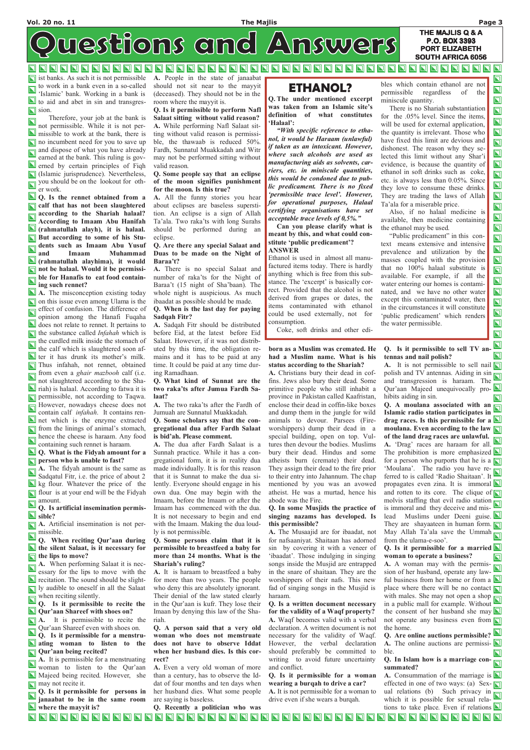$\overline{\mathbf{N}}$ 

 $\overline{\mathbf{u}}$ 

### THE MAJLIS Q & A westions and Answers P.O. BOX 3393 PORT ELIZABETH SOUTH AFRICA 6056

### **NNNN**  $\blacksquare$ **NNNNN** N NNN  $\mathbf{\mathbf{\Sigma}}$ <u>NIN</u>  $\blacksquare$ N N N

ist banks. As such it is not permissible A. People in the state of janaabat to work in a bank even in a so-called 'Islamic' bank. Working in a bank is If to aid and abet in sin and transgres- $\Box$  sion.

 Therefore, your job at the bank is  $\blacksquare$ not permissible. While it is not per-**N** missible to work at the bank, there is I no incumbent need for you to save up and dispose of what you have already earned at the bank. This ruling is gov**erned** by certain principles of Fiqh (Islamic jurisprudence). Nevertheless, you should be on the lookout for other work.

**Q** Q. Is the rennet obtained from a alf that has not been slaughtered according to the Shariah halaal? According to Imaam Abu Hanifah (rahmatullah alayh), it is halaal. But according to some of his Students such as Imaam Abu Yusuf and Imaam Muhammad (rahmatullah alayhima), it would not be halaal. Would it be permissi- $\Box$  ble for Hanafis to eat food containing such rennet?

Q. Is artificial insemination permis- $\Box$  sible?

A. Artificial insemination is not permissible.

Q. When reciting Qur'aan during  $\blacksquare$  the silent Salaat, is it necessary for the lips to move?

 $\overline{\phantom{a}}$  A. When performing Salaat it is nec-

 $\blacksquare$ essary for the lips to move with the  $\blacksquare$  recitation. The sound should be slight-**IV** ly audible to oneself in all the Salaat when reciting silently.

Q. Is it permissible to recite the Qur'aan Shareef with shoes on?  $\blacksquare$  **A.** It is permissible to recite the Qur'aan Shareef even with shoes on. Q. Is it permissible for a menstru-**N** ating woman to listen to the Qur'aan being recited?

A. It is permissible for a menstruating woman to listen to the Qur'aan Majeed being recited. However, she  $\blacksquare$  may not recite it.

Q. Is it permissible for persons in janaabat to be in the same room **N** where the mayyit is?

A. The misconception existing today on this issue even among Ulama is the effect of confusion. The difference of opinion among the Hanafi Fuqaha does not relate to rennet. It pertains to  $\Box$  the substance called *Infahah* which is the curdled milk inside the stomach of the calf which is slaughtered soon af- $\blacksquare$  ter it has drunk its mother's milk. Thus infahah, not rennet, obtained from even a ghair mazbooh calf (i.e. not slaughtered according to the Shariah) is halaal. According to fatwa it is **permissible**, not according to Taqwa. However, nowadays cheese does not contain calf infahah. It contains ren-**N** net which is the enzyme extracted **T** from the linings of animal's stomach,  $\Box$  hence the cheese is haraam. Any food containing such rennet is haraam.

### **Q.** What is the Fidyah amount for a  $\Box$  person who is unable to fast?

 $\overline{\blacksquare}$  A. The fidyah amount is the same as Sadqatul Fitr, i.e. the price of about 2 kg flour. Whatever the price of the **Fid** flour is at your end will be the Fidyah  $\sum_{n=1}^{\infty}$  amount.

should not sit near to the mayyit (deceased). They should not be in the room where the mayyit is.

Q. Is it permissible to perform Nafl Salaat sitting without valid reason? A. While performing Nafl Salaat sitting without valid reason is permissible, the thawaab is reduced 50%. Fardh, Sunnatul Muakkadah and Witr may not be performed sitting without valid reason.

### Q. Some people say that an eclipse of the moon signifies punishment for the moon. Is this true?

A. All the funny stories you hear about eclipses are baseless superstition. An eclipse is a sign of Allah Ta'ala. Two raka'ts with long Surahs should be performed during an eclipse.

### Q. Are there any special Salaat and Duas to be made on the Night of Baraa't?

A. It is not permissible to sell nail  $\Box$ polish and TV antennas. Aiding in sin and transgression is haraam. The Qur'aan Majeed unequivocally prohibits aiding in sin.

A. There is no special Salaat and number of raka'ts for the Night of Baraa't (15 night of Sha'baan). The whole night is auspicious. As much ibaadat as possible should be made.

### Q. When is the last day for paying Sadqah Fitr?

Q. A moulana associated with an  $\Box$ Islamic radio station participates in drag races. Is this permissible for a  $\blacksquare$ moulana. Even according to the law of the land drag races are unlawful. A. 'Drag' races are haraam for all. The prohibition is more emphasized  $\Box$ for a person who purports that he is a 'Moulana'. The radio you have referred to is called 'Radio Shaitaan'. It propagates even zina. It is immoral  $\Box$ and rotten to its core. The clique of  $\Box$ molvis staffing that evil radio station is immoral and they deceive and mislead Muslims under Deeni guise. They are shayaateen in human form. May Allah Ta'ala save the Ummah  $\Box$ from the ulama-e-soo'.

Q. Is it permissible for a married  $\blacksquare$ woman to operate a business? **A.** A woman may with the permis-

A. Sadqah Fitr should be distributed before Eid, at the latest before Eid Salaat. However, if it was not distributed by this time, the obligation remains and it has to be paid at any time. It could be paid at any time during Ramadhaan.

### Q. What kind of Sunnat are the two raka'ts after Jumua Fardh Salaat?

sion of her husband, operate any lawful business from her home or from a place where there will be no contact  $\Box$ with males. She may not open a shop in a public mall for example. Without the consent of her husband she may  $\Box$ not operate any business even from the home.

Q. Are online auctions permissible? A. The online auctions are permissi- $\Box$ ble.

A. The two raka'ts after the Fardh of Jumuah are Sunnatul Muakkadah.

### Q. Some scholars say that the congregational dua after Fardh Salaat is bid'ah. Please comment.

A. The dua after Fardh Salaat is a Sunnah practice. While it has a congregational form, it is in reality dua made individually. It is for this reason that it is Sunnat to make the dua silently. Everyone should engage in his own dua. One may begin with the Imaam, before the Imaam or after the Imaam has commenced with the dua. It is not necessary to begin and end with the Imaam. Making the dua loudly is not permissible.

Q. Some persons claim that it is permissible to breastfeed a baby for more than 24 months. What is the Shariah's ruling?

A. It is haraam to breastfeed a baby for more than two years. The people who deny this are absolutely ignorant. Their denial of the law stated clearly in the Qur'aan is kufr. They lose their Imaan by denying this law of the Shariah.

Q. A person said that a very old woman who does not menstruate does not have to observe Iddat when her husband dies. Is this correct?

A. Even a very old woman of more than a century, has to observe the Iddat of four months and ten days when her husband dies. What some people are saying is baseless.

Q. Recently a politician who was

### born as a Muslim was cremated. He had a Muslim name. What is his status according to the Shariah?

A. Christians bury their dead in coffins. Jews also bury their dead. Some primitive people who still inhabit a province in Pakistan called Kaafristan, enclose their dead in coffin-like boxes and dump them in the jungle for wild animals to devour. Parsees (Fireworshippers) dump their dead in a special building, open on top. Vultures then devour the bodies. Muslims bury their dead. Hindus and some atheists burn (cremate) their dead. They assign their dead to the fire prior to their entry into Jahannum. The chap mentioned by you was an avowed atheist. He was a murtad, hence his abode was the Fire.

### Q. In some Musjids the practice of singing nazams has developed. Is this permissible?

A. The Musaajid are for ibaadat, not for nafsaaniyat. Shaitaan has adorned sin by covering it with a veneer of 'ibaadat'. Those indulging in singing songs inside the Musjid are entrapped in the snare of shaitaan. They are the worshippers of their nafs. This new fad of singing songs in the Musjid is haraam. Q. Is a written document necessary for the validity of a Waqf property? A. Waqf becomes valid with a verbal declaration. A written document is not necessary for the validity of Waqf. However, the verbal declaration should preferably be committed to writing to avoid future uncertainty and conflict. Q. Is it permissible for a woman wearing a burqah to drive a car? A. It is not permissible for a woman to drive even if she wears a burqah.

Q. Is it permissible to sell TV antennas and nail polish?

Q. In Islam how is a marriage consummated?

A. Consummation of the marriage is  $\Box$ effected in one of two ways: (a) Sex- $\Box$ effected in one of the  $\frac{1}{2}$  such privacy in which it is possible for sexual relations to take place. Even if relations  $\Box$ 

<u>a didididididididididididididi</u> O D D D D D D D D D D D D D D NNNNNN

# ETHANOL?

Q. The under mentioned excerpt was taken from an Islamic site's definition of what constitutes 'Halaal':

"With specific reference to ethanol, it would be Haraam (unlawful) if taken as an intoxicant. However, where such alcohols are used as manufacturing aids as solvents, carriers, etc. in miniscule quantities, this would be condoned due to public predicament. There is no fixed 'permissible trace level'. However, for operational purposes, Halaal certifying organisations have set acceptable trace levels of 0,5%."

 Can you please clarify what is meant by this, and what could constitute 'public predicament'? ANSWER

Ethanol is used in almost all manufactured items today. There is hardly anything which is free from this substance. The 'excerpt' is basically correct. Provided that the alcohol is not derived from grapes or dates, the items contaminated with ethanol could be used externally, not for consumption.

Coke, soft drinks and other edi-

bles which contain ethanol are not permissible regardless of the miniscule quantity.

 There is no Shariah substantiation for the .05% level. Since the items, will be used for external application, the quantity is irrelevant. Those who have fixed this limit are devious and dishonest. The reason why they selected this limit without any Shar'i evidence, is because the quantity of ethanol in soft drinks such as coke, etc. is always less than 0.05%. Since they love to consume these drinks. They are trading the laws of Allah Ta'ala for a miserable price.

 Also, if no halaal medicine is available, then medicine containing the ethanol may be used.

 "Public predicament" in this context means extensive and intensive prevalence and utilization by the masses coupled with the provision that no 100% halaal substitute is available. For example, if all the water entering our homes is contaminated, and we have no other water except this contaminated water, then in the circumstances it will constitute 'public predicament' which renders the water permissible.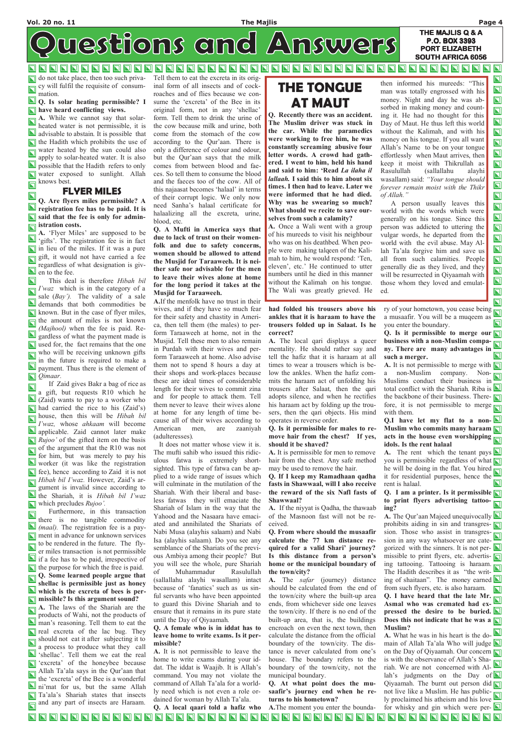$\blacksquare$ 

 $\boldsymbol{\Sigma}$  $\blacksquare$  $\mathbf{\Sigma}$  $\overline{\mathbf{u}}$  $\overline{\mathbf{N}}$  $\bm{\mathsf{Z}}$  $\overline{\bm{\mathsf{u}}}$ 

 $\Box$  $\overline{\bm{\Sigma}}$  $\blacksquare$ 

 $\overline{\mathbf{z}}$ 

 $\blacksquare$  $\overline{\mathbf{N}}$  $\blacksquare$  $\overline{\mathbf{N}}$  $\blacksquare$  $\overline{\mathbf{N}}$  $\bm{\nabla}$  $\overline{\mathbf{u}}$  $\overline{\mathbf{u}}$ 

 $\overline{\mathbf{N}}$ 

THE MAJLIS Q & A westions and Answers PORT ELIZABETH SOUTH AFRICA 6056

**NNH FNNH FNNH NNN** N NN  $\blacksquare$  $\blacksquare$ N  $\blacksquare$ 

### Q. Is solar heating permissible? I **N** have heard conflicting views.

 $\overline{\blacksquare}$  **A.** While we cannot say that solarheated water is not permissible, it is advisable to abstain. It is possible that  $\blacksquare$  the Hadith which prohibits the use of water heated by the sun could also  $\overline{\mathbf{N}}$ apply to solar-heated water. It is also **N** possible that the Hadith refers to only water exposed to sunlight. Allah knows best.  $\overline{\mathbf{N}}$ 

do not take place, then too such privacy will fulfil the requisite of consummation.

A. 'Flyer Miles' are supposed to be 'gifts'. The registration fee is in fact  $\Box$  in lieu of the miles. If it was a pure gift, it would not have carried a fee regardless of what designation is giv- $\blacksquare$  en to the fee.

 $\Box$  This deal is therefore Hibah bil  $\Box$  *I'waz* which is in the category of a sale  $(Bay')$ . The validity of a sale demands that both commodities be  $\Box$  known. But in the case of flyer miles,  $\overline{\Box}$  the amount of miles is not known (Majhool) when the fee is paid. Re- $\Box$  gardless of what the payment made is used for, the fact remains that the one who will be receiving unknown gifts in the future is required to make a payment. Thus there is the element of **Q**imaar.

## FLYER MILES

 $\overline{\mathbf{N}}$ Q. Are flyers miles permissible? A **N** registration fee has to be paid. It is said that the fee is only for admin**istration costs.** 

 If Zaid gives Bakr a bag of rice as  $\overline{\mathbf{N}}$ a gift, but requests R10 which he (Zaid) wants to pay to a worker who had carried the rice to his (Zaid's) house, then this will be *Hibah bil* I'waz, whose ahkaam will become applicable. Zaid cannot later make  $\Box$  Rujoo' of the gifted item on the basis  $\Box$  of the argument that the R10 was not for him, but was merely to pay his **Note** that, the worker (it was like the registration  $\Box$  fee), hence according to Zaid it is not  $\Box$  Hibah bil I'waz. However, Zaid's argument is invalid since according to  $\Box$  the Shariah, it is *Hibah bil I'waz*  $\Box$  which precludes  $Rujoo'$ .

 Furthermore, in this transaction  $\overline{\mathbf{z}}$ there is no tangible commodity (maal). The registration fee is a pay-**N** ment in advance for unknown services to be rendered in the future. The flyer miles transaction is not permissible If a fee has to be paid, irrespective of  $\Box$  the purpose for which the free is paid. Q. Some learned people argue that shellac is permissible just as honey **N** which is the excreta of bees is per**n** missible? Is this argument sound?  $\overline{\blacksquare}$  A. The laws of the Shariah are the products of Wahi, not the products of man's reasoning. Tell them to eat the **real** excreta of the lac bug. They should not eat it after subjecting it to a process to produce what they call shellac'. Tell them we eat the real T 'excreta' of the honeybee because Allah Ta'ala says in the Qur'aan that the 'excreta' of the Bee is a wonderful ni'mat for us, but the same Allah Ta'ala's Shariah states that insects and any part of insects are Haraam.

Q. A local qaari told a hafiz who A.The moment you enter the bounda-NNNNNNNNN NNNNNNNNNN O C C C C C C C C C C C C C C **NNNNNNNNN** 

Tell them to eat the excreta in its original form of all insects and of cockroaches and of flies because we consume the 'excreta' of the Bee in its original form, not in any 'shellac' form. Tell them to drink the urine of the cow because milk and urine, both come from the stomach of the cow according to the Qur'aan. There is only a difference of colour and odour, but the Qur'aan says that the milk comes from between blood and faeces. So tell them to consume the blood and the faeces too of the cow. All of this najaasat becomes 'halaal' in terms of their corrupt logic. We only now need Sanha's halaal certificate for halaalizing all the excreta, urine, blood, etc.

Q. A Mufti in America says that due to lack of trust on their womenfolk and due to safety concerns, women should be allowed to attend the Musjid for Taraaweeh. It is neither safe nor advisable for the men to leave their wives alone at home for the long period it takes at the Musjid for Taraaweeh.

> $\mathbf{\Sigma}$ ry of your hometown, you cease being a musaafir. You will be a muqeem as  $\mathbf \Pi$ you enter the boundary.

> Q. Is it permissible to merge our  $\Box$ business with a non-Muslim company. There are many advantages in  $\mathbf{Z}$ such a merger.

> A. It is not permissible to merge with  $\Box$ a non-Muslim company. Non-Muslims conduct their business in total conflict with the Shariah. Riba is the backbone of their business. There- $\Box$ fore, it is not permissible to merge  $\Box$ with them.

### Q.I have let my flat to a non- $\blacksquare$ Muslim who commits many haraam acts in the house even worshipping idols. Is the rent halaal

**A.** The rent which the tenant pays  $\blacksquare$ you is permissible regardless of what  $\Box$ he will be doing in the flat. You hired  $\Box$ it for residential purposes, hence the rent is halaal.

Q. I am a printer. Is it permissible  $\Box$ to print flyers advertising tattooing?

A. The Qur'aan Majeed unequivocally  $\blacksquare$ prohibits aiding in sin and transgres- $\Box$  $\frac{1}{\pi}$  sion. Those who assist in transgression in any way whatsoever are categorized with the sinners. It is not per- $\Box$ missible to print flyers, etc. advertis- $\Box$ ing tattooing. Tattooing is haraam. The Hadith describes it as "the writ- $\Box$ ing of shaitaan". The money earned  $\blacksquare$ from such flyers, etc. is also haraam.  $\boldsymbol{\nabla}$ Q. I have heard that the late Mr. Asmal who was cremated had expressed the desire to be buried.  $\Box$ Does this not indicate that he was a Muslim? **A.** What he was in his heart is the domain of Allah Ta'ala Who will judge  $\Box$ on the Day of Qiyaamah. Our concern is with the observance of Allah's Shariah. We are not concerned with Al- $\blacksquare$ lah's judgments on the Day of  $\Box$ Qiyaamah. The burnt out person did not live like a Muslim. He has publicly proclaimed his atheism and his love for whisky and gin which were per- $\square$ 

A.If the menfolk have no trust in their wives, and if they have so much fear for their safety and chastity in America, then tell them (the males) to perform Taraaweeh at home, not in the Musjid. Tell these men to also remain in Purdah with their wives and perform Taraaweeh at home. Also advise them not to spend 8 hours a day at their shops and work-places because these are ideal times of considerable length for their wives to commit zina and for people to attack them. Tell them never to leave their wives alone at home for any length of time because all of their wives according to American men, are zaaniyah (adulteresses).

 It does not matter whose view it is. The mufti sahib who issued this ridiculous fatwa is extremely shortsighted. This type of fatwa can be applied to a wide range of issues which will culminate in the mutilation of the Shariah. With their liberal and baseless fatwas they will emaciate the Shariah of Islam in the way that the Yahood and the Nasaara have emaciated and annihilated the Shariats of Nabi Musa (alayhis salaam) and Nabi Isa (alayhis salaam). Do you see any semblance of the Shariats of the previous Ambiya among their people? But you will see the whole, pure Shariah

of Muhammadur Rasulullah

(sallallahu alayhi wasallam) intact because of 'fanatics' such as us sinful servants who have been appointed to guard this Divine Shariah and to ensure that it remains in its pure state until the Day of Qiyaamah.

Q. A female who is in iddat has to leave home to write exams. Is it permissible?

A. It is not permissible to leave the home to write exams during your iddat. The iddat is Waajib. It is Allah's command. You may not violate the command of Allah Ta'ala for a worldly need which is not even a role ordained for woman by Allah Ta'ala.

had folded his trousers above his ankles that it is haraam to have the trousers folded up in Salaat. Is he correct?

A. The local qari displays a queer mentality. He should rather say and tell the hafiz that it is haraam at all times to wear a trousers which is below the ankles. When the hafiz commits the haraam act of unfolding his trousers after Salaat, then the qari adopts silence, and when he rectifies his haraam act by folding up the trousers, then the qari objects. His mind operates in reverse order.

### Q. Is it permissible for males to remove hair from the chest? If yes, should it be shaved?

A. It is permissible for men to remove hair from the chest. Any safe method may be used to remove the hair.

Q. If I keep my Ramadhaan qadha fasts in Shawwaal, will I also receive the reward of the six Nafl fasts of Shawwaal?

A. If the niyyat is Qadha, the thawaab of the Masnoon fast will not be received.

Q. From where should the musaafir calculate the 77 km distance required for a valid Shari' journey? Is this distance from a person's home or the municipal boundary of the town/city?

A. The safar (journey) distance should be calculated from the end of the town/city where the built-up area ends, from whichever side one leaves the town/city. If there is no end of the built-up area, that is, the buildings encroach on even the next town, then calculate the distance from the official boundary of the town/city. The distance is never calculated from one's house. The boundary refers to the boundary of the town/city, not the municipal boundary.

Q. At what point does the musaafir's journey end when he returns to his hometown?

# THE TONGUE AT MAUT

Q. Recently there was an accident. The Muslim driver was stuck in the car. While the paramedics were working to free him, he was constantly screaming abusive four letter words. A crowd had gathered. I went to him, held his hand and said to him: 'Read La ilaha il lallaah. I said this to him about six times. I then had to leave. Later we were informed that he had died. Why was he swearing so much? What should we recite to save ourselves from such a calamity?

A. Once a Wali went with a group of his mureeds to visit his neighbour who was on his deathbed. When people were making talqeen of the Kalimah to him, he would respond: 'Ten, eleven', etc.' He continued to utter numbers until he died in this manner without the Kalimah on his tongue. The Wali was greatly grieved. He

then informed his mureeds: "This man was totally engrossed with his money. Night and day he was absorbed in making money and counting it. He had no thought for this Day of Maut. He thus left this world without the Kalimah, and with his money on his tongue. If you all want Allah's Name to be on your tongue effortlessly when Maut arrives, then keep it moist with Thikrullah as Rasulullah (sallallahu alayhi wasallam) said: "Your tongue should forever remain moist with the Thikr of Allah."

P.O. BOX 3393

A person usually leaves this world with the words which were generally on his tongue. Since this person was addicted to uttering the vulgar words, he departed from the world with the evil abuse. May Allah Ta'ala forgive him and save us all from such calamities. People generally die as they lived, and they will be resurrected in Qiyaamah with those whom they loved and emulated.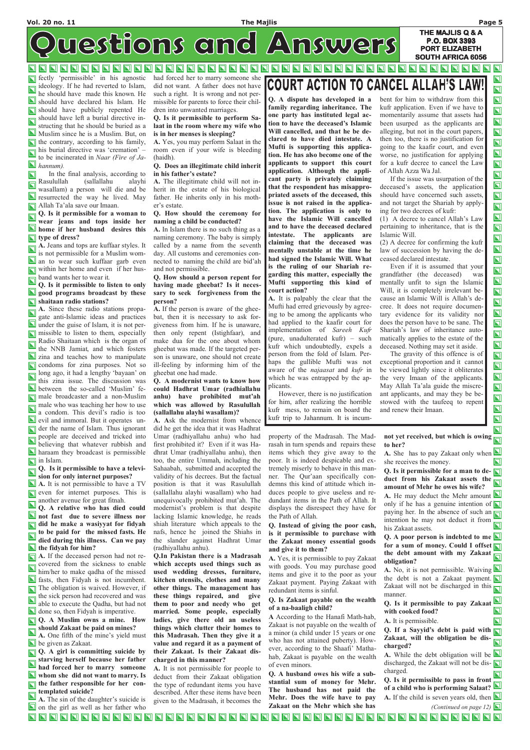### Vol. 20 no. 11 The Majlis Page 5

THE MAJLIS Q & A P.O. BOX 3393 PORT ELIZABETH

 $\blacksquare$ 

 $\blacksquare$ 

 $\mathbf{\Sigma}$ 

N N

SOUTH AFRICA 6056

westions and Answers

**NNNN NNNN**  $\blacksquare$  $\blacksquare$ NN  $\blacksquare$ N  $\blacksquare$  $\blacksquare$ 

 $\Box$  fectly 'permissible' in his agnostic ideology. If he had reverted to Islam, he should have made this known. He should have declared his Islam. He should have publicly repented He should have left a burial directive instructing that he should be buried as a Muslim since he is a Muslim. But, on  $\Box$  the contrary, according to his family,  $\overline{\Box}$  his burial directive was 'cremation' – to be incinerated in Naar (Fire of Ja- $\blacksquare$  hannum).

Q. Is it permissible for a woman to W. Is a permission of the strained her **N** home if her husband desires this type of dress?

A. Jeans and tops are kuffaar styles. It is not permissible for a Muslim wom-**N** an to wear such kuffaar garb even within her home and even if her husband wants her to wear it.

Q. Is it permissible to listen to only solo programs broadcast by these Shaitaan radio stations?

 $\overline{\blacksquare}$  A. Since these radio stations propagate anti-Islamic ideas and practices under the guise of Islam, it is not per**n** missible to listen to them, especially Radio Shaitaan which is the organ of the NNB Jamiat, and which fosters **zina and teaches how to manipulate** condoms for zina purposes. Not so long ago, it had a lengthy 'bayaan' on  $\Box$  long ago, it has a senger  $\Box$ <br>this zina issue. The discussion was between the so-called 'Muslim' fe- $\Box$  male broadcaster and a non-Muslim  $\sum_{n=1}^{\infty}$  male who was teaching her how to use a condom. This devil's radio is too evil and immoral. But it operates under the name of Islam. Thus ignorant people are deceived and tricked into  $\overline{\mathbf{u}}$ believing that whatever rubbish and **N** haraam they broadcast is permissible in Islam.

 In the final analysis, according to  $\Delta$ Rasulullah (sallallahu alayhi  $\overline{\mathbf{N}}$ wasallam) a person will die and be **N** resurrected the way he lived. May Allah Ta'ala save our Imaan.

 $\overline{\bigcirc}$  Q. Is it permissible to have a television for only internet purposes?

A. It is not permissible to have a TV **N** even for internet purposes. This is another avenue for great fitnah.

Q. A relative who has died could **N** not fast due to severe illness nor did he make a wasiyyat for fidyah to be paid for the missed fasts. He died during this illness. Can we pay  $\blacksquare$  the fidyah for him?

**Q.** A girl is committing suicide by starving herself because her father had forced her to marry someone whom she did not want to marry. Is **the father responsible for her con**templated suicide?

A. If the deceased person had not recovered from the sickness to enable which accepts used things such as

A. The sin of the daughter's suicide is on the girl as well as her father who

had forced her to marry someone she did not want. A father does not have such a right. It is wrong and not permissible for parents to force their children into unwanted marriages.

Q. Is it permissible to perform Salaat in the room where my wife who is in her menses is sleeping?

A. Yes, you may perform Salaat in the room even if your wife is bleeding (haidh).

### Q. Does an illegitimate child inherit in his father's estate?

A. The illegitimate child will not inherit in the estate of his biological father. He inherits only in his mother's estate.

> not yet received, but which is owing to her?

> A. She has to pay Zakaat only when  $\blacksquare$ she receives the money.

> Q. Is it permissible for a man to de- $\Box$ duct from his Zakaat assets the  $\Box$ amount of Mehr he owes his wife? A. He may deduct the Mehr amount  $\blacksquare$

### Q. How should the ceremony for naming a child be conducted?

only if he has a genuine intention of  $\Box$ paying her. In the absence of such an  $\sqrt{\sqrt{\frac{1}{n}}}$ intention he may not deduct it from his Zakaat assets.

A. In Islam there is no such thing as a naming ceremony. The baby is simply called by a name from the seventh day. All customs and ceremonies connected to naming the child are bid'ah and not permissible.

> Q. A poor person is indebted to me  $\blacksquare$ for a sum of money. Could I offset the debt amount with my Zakaat obligation?

 $\blacksquare$ him/her to make qadha of the missed fasts, then Fidyah is not incumbent. The obligation is waived. However, if the sick person had recovered and was able to execute the Qadha, but had not **done** so, then Fidyah is imperative. **Q.** A Muslim owns a mine. How should Zakaat be paid on mines? A. One fifth of the mine's yield must be given as Zakaat.

A. No, it is not permissible. Waiving  $\blacksquare$ the debt is not a Zakaat payment. Zakaat will not be discharged in this  $\sqrt{\sqrt{\frac{1}{n}}}$ manner.

### Q. How should a person repent for having made gheebat? Is it necessary to seek forgiveness from the person?

Q. If a Sayyid's debt is paid with  $\Box$ Zakaat, will the obligation be dis- $\overline{\mathbf{N}}$ charged?

A. While the debt obligation will be  $\Box$ discharged, the Zakaat will not be dis- $\Box$ charged.

Q. Is it permissible to pass in front of a child who is performing Salaat? A. If the child is seven years old, then  $\blacksquare$ (Continued on page 12)  $\Box$ 

### **NNNNNNNNNNN** O O O O O O O O O O O O O O O O O O O O  $\blacksquare$  $\blacksquare$ **NNNNNNNN**  $\mathbf{\Sigma}$  $\blacksquare$  $\blacksquare$

A. If the person is aware of the gheebat, then it is necessary to ask forgiveness from him. If he is unaware, then only repent (Istighfaar), and make dua for the one about whom gheebat was made. If the targeted person is unaware, one should not create ill-feeling by informing him of the gheebat one had made.

### Q. A modernist wants to know how could Hadhrat Umar (radhiallahu anhu) have prohibited mut'ah which was allowed by Rasulullah (sallallahu alayhi wasallam)?

A. Ask the modernist from whence did he get the idea that it was Hadhrat Umar (radhiyallahu anhu) who had first prohibited it? Even if it was Hadhrat Umar (radhiyallahu anhu), then too, the entire Ummah, including the Sahaabah, submitted and accepted the validity of his decrees. But the factual position is that it was Rasulullah (sallallahu alayhi wasallam) who had unequivocally prohibited mut'ah. The modernist's problem is that despite lacking Islamic knowledge, he reads shiah literature which appeals to the nafs, hence he joined the Shiahs in the slander against Hadhrat Umar (radhiyallahu anhu).

Q.In Pakistan there is a Madrasah

# COURT ACTION TO CANCEL

used wedding dresses, furniture, kitchen utensils, clothes and many other things. The management has these things repaired, and give them to poor and needy who get married. Some people, especially ladies, give there old an useless things which clutter their homes to this Madrasah. Then they give it a value and regard it as a payment of their Zakaat. Is their Zakaat discharged in this manner?

A. It is not permissible for people to deduct from their Zakaat obligation the type of redundant items you have described. After these items have been given to the Madrasah, it becomes the property of the Madrasah. The Madrasah in turn spends and repairs these items which they give away to the poor. It is indeed despicable and extremely miserly to behave in this manner. The Qur'aan specifically condemns this kind of attitude which induces people to give useless and redundant items in the Path of Allah. It displays the disrespect they have for the Path of Allah.

### Q. Instead of giving the poor cash, is it permissible to purchase with the Zakaat money essential goods and give it to them?

A. Yes, it is permissible to pay Zakaat with goods. You may purchase good

items and give it to the poor as your Zakaat payment. Paying Zakaat with redundant items is sinful.

### Q. Is Zakaat payable on the wealth of a na-baaligh child?

A According to the Hanafi Math-hab, Zakaat is not payable on the wealth of a minor (a child under 15 years or one who has not attained puberty). However, according to the Shaafi' Mathahab, Zakaat is payable on the wealth of even minors.

Q. A husband owes his wife a substantial sum of money for Mehr. The husband has not paid the Mehr. Does the wife have to pay Zakaat on the Mehr which she has

Q. Is it permissible to pay Zakaat with cooked food?

A. It is permissible.

Q. A dispute has developed in a family regarding inheritance. The one party has instituted legal action to have the deceased's Islamic Will cancelled, and that he be declared to have died intestate. A Mufti is supporting this application. He has also become one of the applicants to support this court application. Although the applicant party is privately claiming that the respondent has misappropriated assets of the deceased, this issue is not raised in the application. The application is only to have the Islamic Will cancelled and to have the deceased declared intestate. The applicants are claiming that the deceased was mentally unstable at the time he had signed the Islamic Will. What is the ruling of our Shariah regarding this matter, especially the Mufti supporting this kind of court action?

A. It is palpably the clear that the Mufti had erred grievously by agreeing to be among the applicants who had applied to the kaafir court for implementation of Sareeh Kufr (pure, unadulterated kufr) – such kufr which undoubtedly, expels a person from the fold of Islam. Perhaps the gullible Mufti was not aware of the *najaasat* and *kufr* in which he was entrapped by the applicants.

 However, there is no justification for him, after realizing the horrible kufr mess, to remain on board the kufr trip to Jahannum. It is incumbent for him to withdraw from this kufr application. Even if we have to momentarily assume that assets had been usurped as the applicants are alleging, but not in the court papers, then too, there is no justification for going to the kaafir court, and even worse, no justification for applying for a kufr decree to cancel the Law of Allah Azza Wa Jal.

 $\blacksquare$  $\blacksquare$  $\blacksquare$ 

 If the issue was usurpation of the deceased's assets, the application should have concerned such assets, and not target the Shariah by applying for two decrees of kufr:

(1) A decree to cancel Allah's Law pertaining to inheritance, that is the Islamic Will.

(2) A decree for confirming the kufr law of succession by having the deceased declared intestate.

 Even if it is assumed that your grandfather (the deceased) was mentally unfit to sign the Islamic Will, it is completely irrelevant because an Islamic Will is Allah's decree. It does not require documentary evidence for its validity nor does the person have to be sane. The Shariah's law of inheritance automatically applies to the estate of the deceased. Nothing may set it aside.

 The gravity of this offence is of exceptional proportion and it cannot be viewed lightly since it obliterates the very Imaan of the applicants. May Allah Ta'ala guide the miscreant applicants, and may they be bestowed with the taufeeq to repent and renew their Imaan.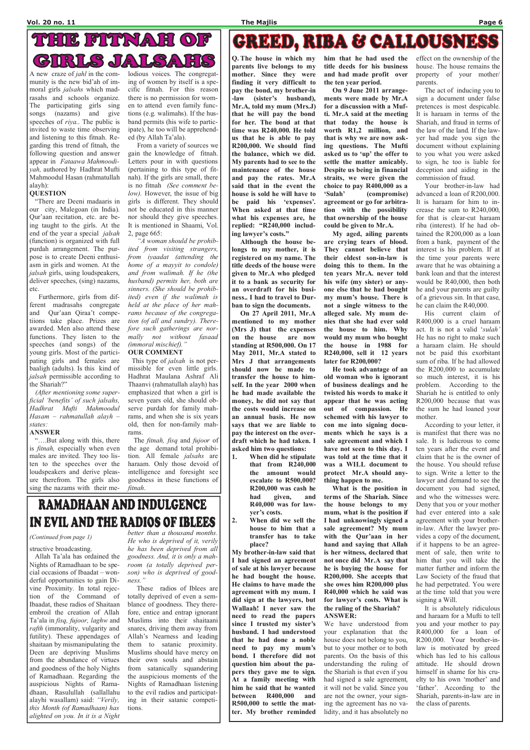# THIE FITTNAH OF JAILSAITS CIRILS

Q. The house in which my parents live belongs to my mother. Since they were finding it very difficult to pay the bond, my brother-in -law (sister's husband), Mr.A, told my mum (Mrs.J) that he will pay the bond for her. The bond at that time was R240,000. He told us that he is able to pay R200,000. We should find the balance, which we did. My parents had to see to the maintenance of the house and pay the rates. Mr.A said that in the event the house is sold he will have to be paid his 'expenses'. When asked at that time what his expenses are, he replied: "R240,000 including lawyer's costs."

 Although the house belongs to my mother, it is registered on my name. The title deeds of the house were given to Mr.A who pledged it to a bank as security for an overdraft for his business.. I had to travel to Durban to sign the documents.

 On 27 April 2011, Mr.A mentioned to my mother (Mrs J) that the expenses on the house are now standing at R500,000. On 17 May 2011, Mr.A stated to Mrs J that arrangements should now be made to transfer the house to himself. In the year 2000 when he had made available the money, he did not say that the costs would increase on an annual basis. He now says that we are liable to pay the interest on the overdraft which he had taken. I asked him two questions:

1. When did he stipulate that from R240,000 the amount would escalate to R500,000? R200,000 was cash he had given, and R40,000 was for lawyer's costs.

2. When did we sell the house to him that a transfer has to take place?

My brother-in-law said that I had signed an agreement of sale at his lawyer because he had bought the house. He claims to have made the agreement with my mum. I did sign at the lawyers, but Wallaah! I never saw the need to read the papers since I trusted my sister's husband. I had understood that he had done a noble need to pay my mum's bond. I therefore did not question him about the papers they gave me to sign. At a family meeting with him he said that he wanted between R400,000 and R500,000 to settle the matter. My brother reminded

him that he had used the title deeds for his business and had made profit over the ten year period.

 On 9 June 2011 arrangements were made by Mr.A for a discussion with a Mufti. Mr.A said at the meeting that today the house is worth R1,2 million, and that is why we are now asking questions. The Mufti asked us to 'up' the offer to settle the matter amicably. Despite us being in financial straits, we were given the choice to pay R400,000 as a 'Sulah' (compromise) agreement or go for arbitration with the possibility that ownership of the house could be given to Mr.A.

 My aged, ailing parents are crying tears of blood. They cannot believe that their eldest son-in-law is doing this to them. In the ten years Mr.A. never told his wife (my sister) or anyone else that he had bought my mum's house. There is not a single witness to the alleged sale. My mum denies that she had ever sold the house to him. Why would my mum who bought the house in 1988 for R240,000, sell it 12 years later for R200,000?

 He took advantage of an old woman who is ignorant of business dealings and he twisted his words to make it appear that he was acting out of compassion. He schemed with his lawyer to con me into signing documents which he says is a sale agreement and which I have not seen to this day. I was told at the time that it was a WILL document to protect Mr.A should anything happen to me.

 What is the position in terms of the Shariah. Since the house belongs to my mum, what is the position if I had unknowingly signed a sale agreement? My mum with the Qur'aan in her hand and saying that Allah is her witness, declared that not once did Mr.A say that he is buying the house for R200,000. She accepts that she owes him R200,000 plus R40,000 which he said was for lawyer's costs. What is the ruling of the Shariah? ANSWER: We have understood from your explanation that the house does not belong to you, but to your mother or to both parents. On the basis of this understanding the ruling of the Shariah is that even if you had signed a sale agreement, it will not be valid. Since you are not the owner, your signing the agreement has no validity, and it has absolutely no

effect on the ownership of the house. The house remains the property of your mother/ parents.

 The act of inducing you to sign a document under false pretences is most despicable. It is haraam in terms of the Shariah, and fraud in terms of the law of the land. If the lawyer had made you sign the document without explaining to you what you were asked to sign, he too is liable for deception and aiding in the commission of fraud.

This type of *jalsah* is not permissible for even little girls. Hadhrat Maulana Ashraf Ali Thaanvi (rahmatullah alayh) has emphasized that when a girl is seven years old, she should observe purdah for family mahrams, and when she is six years old, then for non-family mahrams.

 Your brother-in-law had advanced a loan of R200,000. It is haraam for him to increase the sum to R240,000, for that is clear-cut haraam riba (interest). If he had obtained the R200,000 as a loan from a bank, payment of the interest is his problem. If at the time your parents were aware that he was obtaining a bank loan and that the interest would be R40,000, then both he and your parents are guilty of a grievous sin. In that case, he can claim the R40,000.

Allah Ta'ala has ordained the goodness. And, it is only a mah-Nights of Ramadhaan to be spe- room (a totally deprived percial occasions of Ibaadat – wonderful opportunities to gain Divine Proximity. In total rejection of the Command of Ibaadat, these radios of Shaitaan embroil the creation of Allah Ta'ala in fisq, fujoor, laghw and rafth (immorality, vulgarity and futility). These appendages of shaitaan by mismanipulating the Deen are depriving Muslims from the abundance of virtues and goodness of the holy Nights of Ramadhaan. Regarding the auspicious Nights of Ramadhaan, Rasulullah (sallallahu alayhi wasallam) said: "Verily, this Month (of Ramadhaan) has alighted on you. In it is a Night

# RAMADHAAN AND INDULGENCE IN EVIL AND THE RADIOS OF IBLEES better than a thousand months.

 His current claim of R400,000 is a cruel haraam act. It is not a valid 'sulah' He has no right to make such a haraam claim. He should not be paid this exorbitant sum of riba. If he had allowed the R200,000 to accumulate so much interest, it is his problem. According to the Shariah he is entitled to only R200,000 because that was the sum he had loaned your mother.

 According to your letter, it is manifest that there was no sale. It is ludicrous to come ten years after the event and claim that he is the owner of the house. You should refuse to sign. Write a letter to the lawyer and demand to see the document you had signed, and who the witnesses were. Deny that you or your mother had ever entered into a sale agreement with your brotherin-law. After the lawyer provides a copy of the document, if it happens to be an agreement of sale, then write to him that you will take the matter further and inform the Law Society of the fraud that he had perpetrated. You were at the time told that you were signing a Will. It is absolutely ridiculous and haraam for a Mufti to tell you and your mother to pay R400,000 for a loan of R200,000. Your brother-inlaw is motivated by greed which has led to his callous attitude. He should drown himself in shame for his cruelty to his own 'mother' and 'father'. According to the Shariah, parents-in-law are in the class of parents.

A new craze of jahl in the community is the new bid'ah of immoral girls jalsahs which madrasahs and schools organize. The participating girls sing songs (nazams) and give speeches of *riya*.. The public is invited to waste time observing and listening to this fitnah. Regarding this trend of fitnah, the following question and answer appear in Fataawa Mahmoodiyah, authored by Hadhrat Mufti Mahmoodul Hasan (rahmatullah alayh):

### **QUESTION**

 "There are Deeni madaaris in our city, Malegoan (in India). Qur'aan recitation, etc. are being taught to the girls. At the end of the year a special jalsah (function) is organized with full purdah arrangement. The purpose is to create Deeni enthusiasm in girls and women. At the jalsah girls, using loudspeakers, deliver speeches, (sing) nazams, etc.

 Furthermore, girls from different madrasahs congregate and Qur'aan Qiraa't competiions take place. Prizes are awarded. Men also attend these functions. They listen to the speeches (and songs) of the young girls. Most of the participating girls and females are baaligh (adults). Is this kind of jalsah permissible according to the Shariah?"

 (After mentioning some superficial 'benefits' of such jalsahs, Hadhrat Mufti Mahmoodul Hasam – rahmatullah alayh – states:

### ANSWER

 "….But along with this, there is fitnah, especially when even males are invited. They too listen to the speeches over the loudspeakers and derive pleasure therefrom. The girls also sing the nazams with their melodious voices. The congregating of women by itself is a specific fitnah. For this reason there is no permission for women to attend even family functions (e.g. walimahs). If the husband permits (his wife to participate), he too will be apprehended (by Allah Ta'ala).

 From a variety of sources we gain the knowledge of fitnah. Letters pour in with questions (pertaining to this type of fitnah). If the girls are small, there is no fitnah (See comment below). However, the issue of big girls is different. They should not be educated in this manner nor should they give speeches. It is mentioned in Shaami, Vol. 2, page 665:

 "A woman should be prohibited from visiting strangers, from iyaadat (attending the home of a mayyit to condole) and from walimah. If he (the husband) permits her, both are sinners. (She should be prohibited) even if the walimah is held at the place of her mahrams because of the congregation (of all and sundry). Therefore such gatherings are normally not without fasaad (immoral mischief)."

### OUR COMMENT

 The fitnah, fisq and fujoor of the age demand total prohibition. All female jalsahs are haraam. Only those devoid of intelligence and foresight see goodness in these functions of fitnah.

# **GREED, RIBA & CALLOUSNESS**

structive broadcasting.

He who is deprived of it, verily he has been deprived from all son) who is deprived of goodness."

 These radios of Iblees are totally deprived of even a semblance of goodness. They therefore, entice and entrap ignorant Muslims into their shaitaani snares, driving them away from Allah's Nearness and leading them to satanic proximity. Muslims should have mercy on their own souls and abstain from satanically squandering the auspicious moments of the Nights of Ramadhaan listening to the evil radios and participating in their satanic competitions.

(Continued from page 1)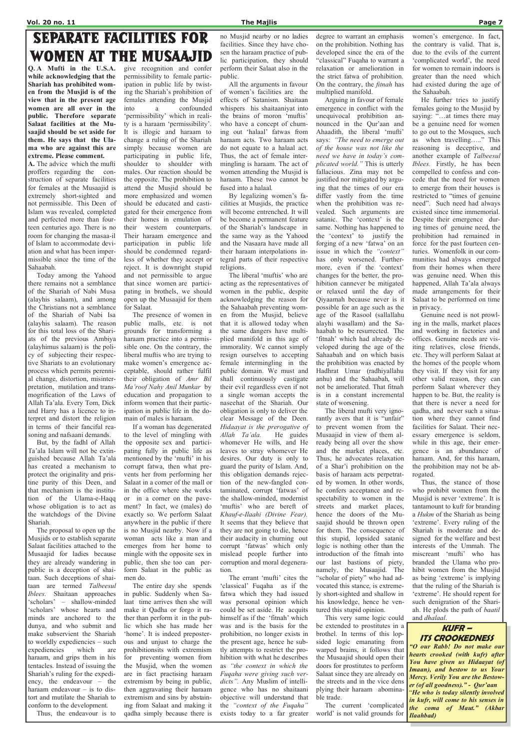# **SEPARATE FACILITIES FOR WOMEN AT THE MUSAAJID**

Q. A Mufti in the U.S.A. while acknowledging that the Shariah has prohibited women from the Musjid is of the view that in the present age women are all over in the public. Therefore separate Salaat facilities at the Musaajid should be set aside for them. He says that the Ulama who are against this are extreme. Please comment.

A. The advice which the mufti proffers regarding the construction of separate facilities for females at the Musaajid is extremely short-sighted and not permissible. This Deen of Islam was revealed, completed and perfected more than fourteen centuries ago. There is no room for changing the masaa-il of Islam to accommodate deviation and what has been impermissible since the time of the Sahaabah.

 Today among the Yahood there remains not a semblance of the Shariah of Nabi Musa (alayhis salaam), and among the Christians not a semblance of the Shariah of Nabi Isa (alayhis salaam). The reason for this total loss of the Shariats of the previous Ambiya (alayhimus salaam) is the policy of subjecting their respective Shariats to an evolutionary process which permits perennial change, distortion, misinterpretation, mutilation and transmogrification of the Laws of Allah Ta'ala. Every Tom, Dick and Harry has a licence to interpret and distort the religion in terms of their fanciful reasoning and nafsaani demands.

 But, by the fadhl of Allah Ta'ala Islam will not be extinguished because Allah Ta'ala has created a mechanism to protect the originality and pristine purity of this Deen, and that mechanism is the institution of the Ulama-e-Haqq whose obligation is to act as the watchdogs of the Divine Shariah.

 The proposal to open up the Musjids or to establish separate Salaat facilities attached to the Musaajid for ladies because they are already wandering in public is a deception of shaitaan. Such deceptions of shaitaan are termed Talbeesul Iblees. Shaitaan approaches 'scholars' – shallow-minded 'scholars' whose hearts and minds are anchored to the dunya, and who submit and make subservient the Shariah to worldly expediencies – such expediencies which are haraam, and grips them in his tentacles. Instead of issuing the Shariah's ruling for the expediency, the endeavour – the haraam endeavour – is to distort and mutilate the Shariah to conform to the development. Thus, the endeavour is to

give recognition and confer permissibility to female participation in public life by twisting the Shariah's prohibition of females attending the Musjid into a confounded 'permissibility' which in reality is a haraam 'permissibility'. It is illogic and haraam to change a ruling of the Shariah simply because women are participating in public life, shoulder to shoulder with males. Our reaction should be the opposite. The prohibition to attend the Musjid should be more emphasized and women should be educated and castigated for their emergence from their homes in emulation of their western counterparts. Their haraam emergence and participation in public life should be condemned regardless of whether they accept or reject. It is downright stupid and not permissible to argue that since women are participating in brothels, we should open up the Musaajid for them

for Salaat. The presence of women in public malls, etc. is not grounds for transforming a haraam practice into a permissible one. On the contrary, the liberal muftis who are trying to make women's emergence acceptable, should rather fulfil their obligation of Amr Bil Ma'roof Nahy Anil Munkar by education and propagation to inform women that their participation in public life in the domain of males is haraam.

 If a woman has degenerated to the level of mingling with the opposite sex and participating fully in public life as mentioned by the 'mufti' in his corrupt fatwa, then what prevents her from performing her Salaat in a corner of the mall or in the office where she works or in a corner on the pavement? In fact, we (males) do exactly so. We perform Salaat anywhere in the public if there is no Musjid nearby. Now if a woman acts like a man and emerges from her home to mingle with the opposite sex in public, then she too can per-

form Salaat in the public as men do.

 The entire day she spends in public. Suddenly when Salaat time arrives then she will make it Qadha or forgo it rather than perform it in the public which she has made her 'home'. It is indeed preposterous and unjust to charge the prohibitionsits with extremism for preventing women from the Musjid, when the women are in fact practising haraam extremism by being in public, then aggravating their haraam extremism and sins by abstaining from Salaat and making it qadha simply because there is

no Musjid nearby or no ladies facilities. Since they have chosen the haraam practice of public participation, they should perform their Salaat also in the public.

 All the arguments in favour of women's facilities are the effects of Satanism. Shaitaan whispers his shaitaaniyat into the brains of moron 'muftis' who have a concept of churning out 'halaal' fatwas from haraam acts. Two haraam acts do not equate to a halaal act. Thus, the act of female intermingling is haraam. The act of women attending the Musjid is haraam. These two cannot be fused into a halaal.

 By legalizing women's facilities at Musjids, the practice will become entrenched. It will be become a permanent feature of the Shariah's landscape in the same way as the Yahood and the Nasaara have made all their haraam interpolations integral parts of their respective religions.

 The liberal 'muftis' who are acting as the representatives of women in the public, despite acknowledging the reason for the Sahaabah preventing women from the Musjid, believe that it is allowed today when the same dangers have multiplied manifold in this age of immorality. We cannot simply resign ourselves to accepting female intermingling in the public domain. We must and shall continuously castigate their evil regardless even if not a single woman accepts the naseehat of the Shariah. Our obligation is only to deliver the clear Message of the Deen. Hidaayat is the prerogative of Allah Ta'ala. He guides whomever He wills, and He leaves to stray whomever He desires. Our duty is only to guard the purity of Islam. And, this obligation demands rejection of the new-fangled contaminated, corrupt 'fatwas' of the shallow-minded, modernist 'muftis' who are bereft of Khauf-e-Ilaahi (Divine Fear). It seems that they believe that they are not going to die, hence their audacity in churning out corrupt 'fatwas' which only mislead people further into corruption and moral degenera-

tion.

 The errant 'mufti' cites the 'classical' Fuqaha as if the fatwa which they had issued was personal opinion which could be set aside. He acquits himself as if the 'fitnah' which was and is the basis for the prohibition, no longer exists in the present age, hence he subtly attempts to restrict the prohibition with what he describes as "the context in which the Fuqaha were giving such verdicts". Any Muslim of intelligence who has no shaitaani objective will understand that the "context of the Fuqaha"

exists today to a far greater

degree to warrant an emphasis on the prohibition. Nothing has developed since the era of the "classical" Fuqaha to warrant a relaxation or amelioration in the strict fatwa of prohibition. On the contrary, the fitnah has multiplied manifold.

 Arguing in favour of female emergence in conflict with the unequivocal prohibition announced in the Qur'aan and Ahaadith, the liberal 'mufti' says: "The need to emerge out of the house was not like the need we have in today's complicated world." This is utterly fallacious. Zina may not be justified nor mitigated by arguing that the times of our era differ vastly from the time when the prohibition was revealed. Such arguments are satanic. The 'context' is the same. Nothing has happened to the 'context' to justify the forging of a new 'fatwa' on an issue in which the "context" has only worsened. Furthermore, even if the 'context' changes for the better, the prohibition cannever be mitigated or relaxed until the day of Qiyaamah because never is it possible for an age such as the age of the Rasool (sallallahu alayhi wasallam) and the Sahaabah to be resurrected. The 'fitnah' which had already developed during the age of the Sahaabah and on which basis the prohibition was enacted by Hadhrat Umar (radhiyallahu anhu) and the Sahaabah, will not be ameliorated. That fitnah is in a constant incremental state of worsening.

 The liberal mufti very ignorantly avers that it is "unfair" to prevent women from the Musaajid in view of them already being all over the show and the market places, etc. Thus, he advocates relaxation of a Shar'i prohibition on the basis of haraam acts perpetrated by women. In other words, he confers acceptance and respectability to women in the streets and market places, hence the doors of the Musaajid should be thrown open for them. The consequence of this stupid, lopsided satanic logic is nothing other than the introduction of the fitnah into our last bastions of piety, namely, the Musaajid. The "scholar of piety" who had advocated this stance, is extremely short-sighted and shallow in his knowledge, hence he ventured this stupid opinion. This very same logic could be extended to prostitutes in a brothel. In terms of this lopsided logic emanating from warped brains, it follows that the Musaajid should open their doors for prostitutes to perform Salaat since they are already on the streets and in the vice dens plying their haraam abominable trade.

 The current 'complicated world' is not valid grounds for

women's emergence. In fact, the contrary is valid. That is, due to the evils of the current 'complicated world', the need for women to remain indoors is greater than the need which had existed during the age of the Sahaabah.

 He further tries to justify females going to the Musjid by saying: "...at times there may be a genuine need for women to go out to the Mosques, such as when travelling….." This reasoning is deceptive, and another example of Talbeesul Iblees. Firstly, he has been compelled to confess and concede that the need for women to emerge from their houses is restricted to "times of genuine need". Such need had always existed since time immemorial. Despite their emergence during times of genuine need, the prohibition had remained in force for the past fourteen centuries. Womenfolk in our communities had always emerged from their homes when there was genuine need. When this happened, Allah Ta'ala always made arrangements for their Salaat to be performed on time in privacy.

 Genuine need is not prowling in the malls, market places and working in factories and offices. Genuine needs are visiting relatives, close friends, etc. They will perform Salaat at the homes of the people whom they visit. If they visit for any other valid reason, they can perform Salaat wherever they happen to be. But, the reality is that there is never a need for qadha, and never such a situation where they cannot find facilities for Salaat. Their necessary emergence is seldom, while in this age, their emergence is an abundance of haraam. And, for this haraam, the prohibition may not be abrogated.

 Thus, the stance of those who prohibit women from the Musjid is never 'extreme'. It is tantamount to kufr for branding a Hukm of the Shariah as being 'extreme'. Every ruling of the Shariah is moderate and designed for the welfare and best interests of the Ummah. The miscreant 'mufti' who has branded the Ulama who prohibit women from the Musjid as being 'extreme' is implying that the ruling of the Shariah is 'extreme'. He should repent for such denigration of the Shariah. He plods the path of baatil and dhalaal.

### KUFR – ITS CROOKEDNESS "O our Rabb! Do not make our hearts crooked (with kufr) after You have given us Hidaayat (of Imaan), and bestow to us Your Mercy. Verily You are the Bestower (of all goodness)." - Qur'aan "He who is today silently involved in kufr, will come to his senses in the coma of Maut." (Akbar Ilaahbad)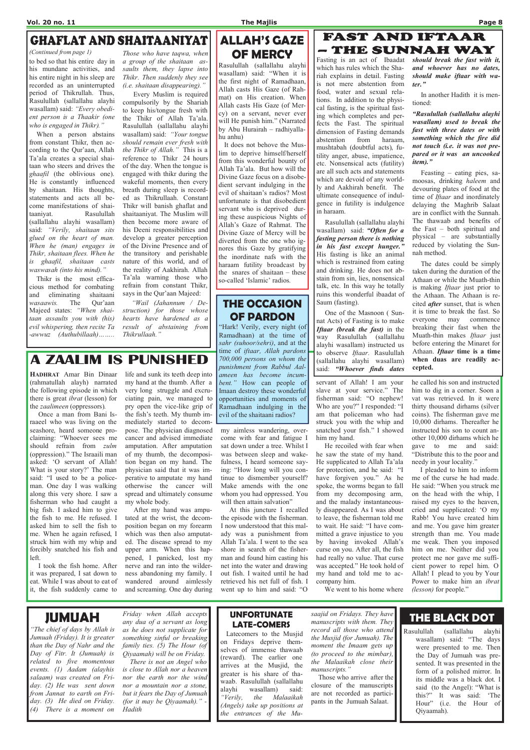# **GHAFLAT AND SHAITAANIYAT**

HADHRAT Amar Bin Dinaar (rahmatullah alayh) narrated the following episode in which there is great ibrat (lesson) for the zaalimeen (oppressors).

 Once a man from Bani Israaeel who was living on the seashore, heard someone proclaiming: "Whoever sees me should refrain from zulm (oppression)." The Israaili man asked: 'O servant of Allah! What is your story?' The man said: "I used to be a policeman. One day I was walking along this very shore. I saw a fisherman who had caught a big fish. I asked him to give the fish to me. He refused. I asked him to sell the fish to me. When he again refused, I struck him with my whip and forcibly snatched his fish and left.

 I took the fish home. After it was prepared, I sat down to eat. While I was about to eat of it, the fish suddenly came to

my aimless wandering, overcome with fear and fatigue I sat down under a tree. Whilst I was between sleep and wakefulness, I heard someone saying: "How long will you continue to dismember yourself? Make amends with the one whom you had oppressed. You will then attain salvation"

# **A ZAALIM IS PUNISHED**

life and sunk its teeth deep into my hand at the thumb. After a very long struggle and excruciating pain, we managed to pry open the vice-like grip of the fish's teeth. My thumb immediately started to decompose. The physician diagnosed cancer and advised immediate amputation. After amputation of my thumb, the decomposition began on my hand. The physician said that it was imperative to amputate my hand otherwise the cancer will spread and ultimately consume my whole body.

 After my hand was amputated at the wrist, the decomposition began on my forearm which was then also amputated. The disease spread to my upper arm. When this happened, I panicked, lost my nerve and ran into the wilderness abandoning my family. I wandered around aimlessly and screaming. One day during

he called his son and instructed him to dig in a corner. Soon a vat was retrieved. In it were thirty thousand dirhams (silver coins). The fisherman gave me 10,000 dirhams. Thereafter he instructed his son to count another 10,000 dirhams which he gave to me and said: "Distribute this to the poor and needy in your locality.'

 I pleaded to him to inform me of the curse he had made. He said: "When you struck me on the head with the whip, I raised my eyes to the heaven, cried and supplicated: 'O my Rabb! You have created him and me. You gave him greater strength than me. You made me weak. Then you imposed him on me. Neither did you protect me nor gave me sufficient power to repel him. O Allah! I plead to you by Your Power to make him an *ibrat* (*lesson*) for people."

 At this juncture I recalled the episode with the fisherman. I now understood that this malady was a punishment from Allah Ta'ala. I went to the sea shore in search of the fisherman and found him casting his

net into the water and drawing out fish. I waited until he had retrieved his net full of fish. I went up to him and said: "O

### – THE SUNNAH WAY Fasting is an act of Ibaadat which has rules which the Shariah explains in detail. Fasting is not mere abstention from food, water and sexual relations. In addition to the physical fasting, is the spiritual fasting which completes and perfects the Fast. The spiritual

dimension of Fasting demands abstention from haraam, mushtabah (doubtful acts), futility anger, abuse, impatience, etc. Nonsensical acts (futility) are all such acts and statements which are devoid of any worldly and Aakhirah benefit. The ultimate consequence of indulgence in futility is indulgence in haraam. Rasulullah (sallallahu alayhi wasallam) said: "Often for a

> servant of Allah! I am your slave at your service." The fisherman said: "O nephew! Who are you?" I responded: "I am that policeman who had struck you with the whip and snatched your fish." I showed him my hand.

> One of the Masnoon ( Sunnat Acts) of Fasting is to make Iftaar (break the fast) in the way Rasulullah (sallallahu alayhi wasallam) instructed us to observe Iftaar. Rasulullah (sallallahu alayhi wasallam) said: "Whoever finds dates

> He recoiled with fear when he saw the state of my hand. He supplicated to Allah Ta'ala for protection, and he said: "I have forgiven you." As he spoke, the worms began to fall from my decomposing arm, and the malady instantaneously disappeared. As I was about to leave, the fisherman told me to wait. He said: "I have committed a grave injustice to you by having invoked Allah's curse on you. After all, the fish had really no value. That curse was accepted." He took hold of

my hand and told me to accompany him.

We went to his home where

to bed so that his entire day in his mundane activities, and his entire night in his sleep are recorded as an uninterrupted period of Thikrullah. Thus, Rasulullah (sallallahu alayhi wasallam) said: "Every obedient person is a Thaakir (one who is engaged in Thikr)."

# THE OCCASION OF PARDON

"Hark! Verily, every night (of Ramadhaan) at the time of sahr (suhoor/sehri), and at the time of iftaar, Allah pardons 700,000 persons on whom the punishment from Rabbul Aalameen has become incumbent." How can people of Imaan destroy these wonderful opportunities and moments of Ramadhaan indulging in the evil of the shaitaani radios?

fasting person there is nothing in his fast except hunger." His fasting is like an animal which is restrained from eating and drinking. He does not abstain from sin, lies, nonsensical talk, etc. In this way he totally ruins this wonderful ibaadat of Saum (fasting).

saajid on Fridays. They have manuscripts with them. They record all those who attend the Musjid (for Jumuah). The moment the Imaam gets up (to proceed to the mimbar), the Malaaikah close their manuscripts."

should break the fast with it, and whoever has no dates, should make iftaar with water."

**FAST AND IFTAAR** 

In another Hadith it is mentioned:

"Rasulullah (sallallahu alayhi wasallam) used to break the fast with three dates or with something which the fire did not touch (i.e. it was not prepared or it was an uncooked item)."

 Feasting – eating pies, samoosas, drinking haleem and devouring plates of food at the time of *Iftaar* and inordinately delaying the Maghrib Salaat are in conflict with the Sunnah. The thawaab and benefits of the Fast – both spiritual and physical – are substantially reduced by violating the Sunnah method.

 The dates could be simply taken during the duration of the Athaan or while the Muath-thin is making *Iftaar* just prior to the Athaan. The Athaan is recited *after* sunset, that is when it is time to break the fast. So everyone may commence breaking their fast when the Muath-thin makes Iftaar just before entering the Minaret for Athaan. Iftaar time is a time when duas are readily accepted.

# ALLAH'S GAZE OF MERCY

Rasulullah (sallallahu alayhi wasallam) said: "When it is the first night of Ramadhaan, Allah casts His Gaze (of Rahmat) on His creation. When Allah casts His Gaze (of Mercy) on a servant, never ever will He punish him." (Narrated by Abu Hurairah – radhiyallahu anhu)

 It does not behove the Muslim to deprive himself/herself from this wonderful bounty of Allah Ta'ala. But how will the Divine Gaze focus on a disobedient servant indulging in the evil of shaitaan's radios? Most unfortunate is that disobedient servant who is deprived during these auspicious Nights of Allah's Gaze of Rahmat. The Divine Gaze of Mercy will be diverted from the one who ignores this Gaze by gratifying the inordinate nafs with the haraam futility broadcast by the snares of shaitaan – these so-called 'Islamic' radios.

 When a person abstains from constant Thikr, then according to the Qur'aan, Allah Ta'ala creates a special shaitaan who steers and drives the ghaafil (the oblivious one). He is constantly influenced by shaitaan. His thoughts, statements and acts all become manifestations of shaitaaniyat. Rasulullah (sallallahu alayhi wasallam) said: "Verily, shaitaan sits glued on the heart of man. When he (man) engages in Thikr, shaitaan flees. When he is ghaafil, shaitaan casts waswasah (into his mind)."

 Thikr is the most efficacious method for combating and eliminating shaitaani wasaawis. The Qur'aan Majeed states: "When shaitaan assaults you with (his) evil whispering, then recite Ta -awwuz (Authubillaah)……..

Those who have taqwa, when a group of the shaitaan assaults them, they lapse into Thikr. Then suddenly they see (i.e. shaitaan disappearing)."

 Every Muslim is required compulsorily by the Shariah to keep his/tongue fresh with the Thikr of Allah Ta'ala. Rasulullah (sallallahu alayhi wasallam) said: "Your tongue should remain ever fresh with the Thikr of Allah." This is a reference to Thikr 24 hours of the day. When the tongue is engaged with thikr during the wakeful moments, then every breath during sleep is recorded as Thikrullaah. Constant Thikr will banish ghaflat and shaitaaniyat. The Muslim will then become more aware of his Deeni responsibilities and develop a greater perception of the Divine Presence and of the transitory and perishable nature of this world, and of the reality of Aakhirah. Allah Ta'ala warning those who refrain from constant Thikr, says in the Qur'aan Majeed:

 "Wail (Jahannum / Destruction) for those whose hearts have hardened as a result of abstaining from Thikrullaah."

(Continued from page 1)

# JUMUAH

"The chief of days by Allah is Jumuah (Friday). It is greater than the Day of Nahr and the Day of Fitr. It (Jumuah) is related to five momentous events. (1) Aadam (alayhis salaam) was created on Friday. (2) He was sent down from Jannat to earth on Friday. (3) He died on Friday. (4) There is a moment on

Friday when Allah accepts any dua of a servant as long as he does not supplicate for something sinful or breaking family ties. (5) The Hour (of Qiyaamah) will be on Friday. There is not an Angel who is close to Allah nor a heaven nor the earth nor the wind nor a mountain nor a stone, but it fears the Day of Jumuah (for it may be Qiyaamah)." - Hadith

### UNFORTUNATE LATE-COMERS

 Latecomers to the Musjid on Fridays deprive themselves of immense thawaab (reward). The earlier one arrives at the Musjid, the greater is his share of thawaab. Rasulullah (sallallahu alayhi wasallam) said: "Verily, the Malaaikah (Angels) take up positions at the entrances of the Mu-

 Those who arrive after the closure of the manuscripts are not recorded as participants in the Jumuah Salaat.

# THE BLACK DOT

Rasulullah (sallallahu alayhi wasallam) said: "The days were presented to me. Then the Day of Jumuah was presented. It was presented in the form of a polished mirror. In its middle was a black dot. I said (to the Angel): "What is this?" It was said: 'The Hour" (i.e. the Hour of Qiyaamah).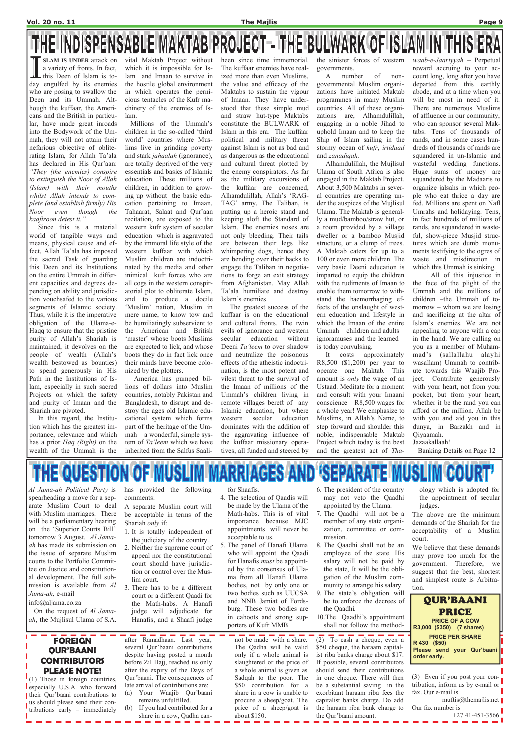# THE INDISPENSABLE MAKTAB PROJECT – THE BULWARK OF ISLAM IN THIS ERA

Al Jama-ah Political Party is spearheading a move for a separate Muslim Court to deal with Muslim marriages. There will be a parliamentary hearing on the 'Superior Courts Bill' tomorrow 3 August. Al Jamaah has made its submission on the issue of separate Muslim courts to the Portfolio Commit-

has provided the following comments:

A separate Muslim court will be acceptable in terms of the Shariah only if:

- 1. It is totally independent of the judiciary of the country.
- 2. Neither the supreme court of appeal nor the constitutional court should have jurisdic-

for Shaafis.

- 4. The selection of Qaadis will be made by the Ulama of the Math-habs. This is of vital importance because MJC appointments will never be acceptable to us.
- 5. The panel of Hanafi Ulama who will appoint the Qaadi for Hanafis *must* be appoint-
- 6. The president of the country may not veto the Qaadhi appointed by the Ulama.
- 7. The Qaadhi will not be a member of any state organization, committee or commission.
- 8. The Qaadhi shall not be an employee of the state. His salary will not be paid by

ology which is adopted for the appointment of secular judges.

The above are the minimum demands of the Shariah for the acceptability of a Muslim court.

We believe that these demands may prove too much for the government. Therefore, we

a variety of fronts. In fact, this Deen of Islam is today engulfed by its enemies who are posing to swallow the Deen and its Ummah. Although the kuffaar, the Americans and the British in particular, have made great inroads into the Bodywork of the Ummah, they will not attain their nefarious objective of obliterating Islam, for Allah Ta'ala has declared in His Qur'aan: "They (the enemies) conspire to extinguish the Noor of Allah (Islam) with their mouths whilst Allah intends to complete (and establish firmly) His Noor even though the kaafiroon detest it."

SLAM IS UNDER attack on vital Maktab Project without which it is impossible for Islam and Imaan to survive in the hostile global environment in which operates the pernicious tentacles of the Kufr machinery of the enemies of Islam.

 Since this is a material world of tangible ways and means, physical cause and effect, Allah Ta'ala has imposed the sacred Task of guarding this Deen and its Institutions on the entire Ummah in different capacities and degrees depending on ability and jurisdiction vouchsafed to the various segments of Islamic society. Thus, while it is the imperative obligation of the Ulama-e-Haqq to ensure that the pristine purity of Allah's Shariah is maintained, it devolves on the people of wealth (Allah's wealth bestowed as bounties) to spend generously in His Path in the Institutions of Islam, especially in such sacred Projects on which the safety and purity of Imaan and the Shariah are pivoted.

 In this regard, the Institution which has the greatest importance, relevance and which has a prior Haq (Right) on the wealth of the Ummah is the

 Millions of the Ummah's children in the so-called 'third world' countries where Muslims live in grinding poverty and stark jahaalah (ignorance), are totally deprived of the very essentials and basics of Islamic education. These millions of children, in addition to growing up without the basic education pertaining to Imaan, Tahaarat, Salaat and Qur'aan recitation, are exposed to the western kufr system of secular education which is aggravated by the immoral life style of the western kuffaar with which Muslim children are indoctrinated by the media and other inimical kufr forces who are all cogs in the western conspiratorial plot to obliterate Islam, and to produce a docile 'Muslim' nation, Muslim in mere name, to know tow and be humiliatingly subservient to the American and British 'master' whose boots Muslims are expected to lick, and whose boots they do in fact lick once their minds have become colonized by the plotters.

 America has pumped billions of dollars into Muslim countries, notably Pakistan and Bangladesh, to disrupt and destroy the ages old Islamic educational system which forms part of the heritage of the Ummah – a wonderful, simple system of Ta'leem which we have inherited from the Salfus Saaliheen since time immemorial. The kuffaar enemies have realized more than even Muslims, the value and efficacy of the Maktabs to sustain the vigour of Imaan. They have understood that these simple mud and straw hut-type Maktabs constitute the BULWARK of Islam in this era. The kuffaar political and military threat against Islam is not as bad and as dangerous as the educational and cultural threat plotted by the enemy conspirators. As far as the military excursions of the kuffaar are concerned, Alhamdulillah, Allah's 'RAG-TAG' army, The Taliban, is putting up a heroic stand and keeping aloft the Standard of Islam. The enemies noses are not only bleeding. Their tails are between their legs like whimpering dogs, hence they are bending over their backs to engage the Taliban in negotiations to forge an exit strategy from Afghanistan. May Allah Ta'ala humiliate and destroy Islam's enemies.

| tee on Justice and constitution-<br>al development. The full sub-<br>mission is available from Al<br>Jama-ah, e-mail<br>$info(\omega)$ aljama.co.za<br>On the request of Al Jama-<br>ah, the Mujlisul Ulama of S.A.                                              | tion or control over the Mus-<br>lim court.<br>3. There has to be a different<br>court or a different Qaadi for<br>the Math-habs. A Hanafi<br>judge will adjudicate for<br>Hanafis, and a Shaafi judge                                                                                                                                                                      | ed by the consensus of Ula-<br>ma from all Hanafi Ulama<br>bodies, not by only one or<br>two bodies such as UUCSA<br>and NNB Jamiat of Fords-<br>burg. These two bodies are<br>in cahoots and strong sup-<br>porters of Kufr MMB.                                                                             | the state, It will be the obli-<br>gation of the Muslim com-<br>munity to arrange his salary.<br>9. The state's obligation will<br>be to enforce the decrees of<br>the Qaadhi.<br>10. The Qaadhi's appointment<br>shall not follow the method-                                                                                                                                     | suggest that the best, shortest<br>and simplest route is Arbitra-<br>tion.<br><b>QUR'BAANI</b><br><b>PRICE</b><br><b>PRICE OF A COW</b><br>R3,000 (\$350) (7 shares)                                                                                  |
|------------------------------------------------------------------------------------------------------------------------------------------------------------------------------------------------------------------------------------------------------------------|-----------------------------------------------------------------------------------------------------------------------------------------------------------------------------------------------------------------------------------------------------------------------------------------------------------------------------------------------------------------------------|---------------------------------------------------------------------------------------------------------------------------------------------------------------------------------------------------------------------------------------------------------------------------------------------------------------|------------------------------------------------------------------------------------------------------------------------------------------------------------------------------------------------------------------------------------------------------------------------------------------------------------------------------------------------------------------------------------|-------------------------------------------------------------------------------------------------------------------------------------------------------------------------------------------------------------------------------------------------------|
| <b>FOREIGN</b><br><b>OUR'BAANI</b><br><b>CONTRIBUTORS</b><br><b>PLEASE NOTE!</b><br>$(1)$ Those in foreign countries,<br>especially U.S.A. who forward<br>their Qur'baani contributions to<br>us should please send their con-<br>tributions early – immediately | after Ramadhaan. Last year,<br>several Qur'baani contributions<br>despite having posted a month<br>before Zil Hajj, reached us only<br>after the expiry of the Days of<br>Qur'baani. The consequences of<br>late arrival of contributions are:<br>Your Waajib Qur'baani<br>(a)<br>remains unfulfilled.<br>If you had contributed for a<br>(b)<br>share in a cow, Qadha can- | not be made with a share.<br>The Qadha will be valid<br>only if a whole animal is<br>slaughtered or the price of<br>a whole animal is given as<br>Sadqah to the poor. The<br>\$50 contribution for a<br>share in a cow is unable to<br>procure a sheep/goat. The<br>price of a sheep/goat is<br>about $$150.$ | (2) To cash a cheque, even a<br>\$50 cheque, the haraam capital-<br>ist riba banks charge about \$17.<br>If possible, several contributors<br>should send their contributions<br>in one cheque. There will then<br>be a substantial saving in the<br>exorbitant haraam riba fees the<br>capitalist banks charge. Do add<br>the haraam riba bank charge to<br>the Qur'baani amount. | <b>PRICE PER SHARE</b><br>R 430 (\$50)<br>Please send your Qur'baani  <br>order early.<br>(3) Even if you post your con-<br>tribution, inform us by e-mail or<br>fax. Our e-mail is<br>muftis@themailis.net<br>Our fax number is<br>$+27$ 41-451-3566 |

 The greatest success of the kuffaar is on the educational and cultural fronts. The twin evils of ignorance and western secular education without Deeni Ta'leem to over shadow and neutralize the poisonous effects of the atheistic indoctrination, is the most potent and vilest threat to the survival of the Imaan of millions of the Ummah's children living in remote villages bereft of any Islamic education, but where western secular education dominates with the addition of the aggravating influence of the kuffaar missionary operatives, all funded and steered by

the sinister forces of western governments.

 A number of nongovernmental Muslim organizations have initiated Maktab programmes in many Muslim countries. All of these organizations are, Alhamdulillah, engaging in a noble Jihad to uphold Imaan and to keep the Ship of Islam sailing in the stormy ocean of kufr, irtidaad and zanadiqah.

 Alhamdulillah, the Mujlisul Ulama of South Africa is also engaged in the Maktab Project. About 3,500 Maktabs in several countries are operating under the auspices of the Mujlisul Ulama. The Maktab is generally a mud/bamboo/straw hut, or a room provided by a village dweller or a bamboo Musjid structure, or a clump of trees. A Maktab caters for up to a 100 or even more children. The very basic Deeni education is imparted to equip the children with the rudiments of Imaan to enable them tomorrow to withstand the haemorrhaging effects of the onslaught of western education and lifestyle in which the Imaan of the entire Ummah – children and adults – ignoramuses and the learned – is today convulsing.

 It costs approximately R8,500 (\$1,200) per year to operate one Maktab. This amount is only the wage of an Ustaad. Meditate for a moment and consult with your Imaani conscience – R8,500 wages for a whole year! We emphasize to Muslims, in Allah's Name, to step forward and shoulder this noble, indispensable Maktab Project which today is the best and the greatest act of Thawaab-e-Jaariyyah – Perpetual reward accruing to your account long, long after you have departed from this earthly abode, and at a time when you will be most in need of it. There are numerous Muslims of affluence in our community, who can sponsor several Maktabs. Tens of thousands of rands, and in some cases hundreds of thousands of rands are squandered in un-Islamic and wasteful wedding functions. Huge sums of money are squandered by the Madaaris to organize jalsahs in which people who eat thrice a day are fed. Millions are spent on Nafl Umrahs and holidaying. Tens, in fact hundreds of millions of rands, are squandered in wasteful, show-piece Musjid structures which are dumb monuments testifying to the ogres of waste and misdirection in which this Ummah is sinking.

 All of this injustice in the face of the plight of the Ummah and the millions of children –the Ummah of tomorrow – whom we are losing and sacrificing at the altar of Islam's enemies. We are not appealing to anyone with a cap in the hand. We are calling on you as a member of Muhammad's (sallallahu alayhi wasallam) Ummah to contribute towards this Waajib Project. Contribute generously with your heart, not from your pocket, but from your heart, whether it be the rand you can afford or the million. Allah be with you and aid you in this dunya, in Barzakh and in Qiyaamah. Jazaakallaah!

Banking Details on Page 12

## THE QUESTION OF MUSLIM MARRIAGES AND **'SEPARATE MUSLIM COURT'**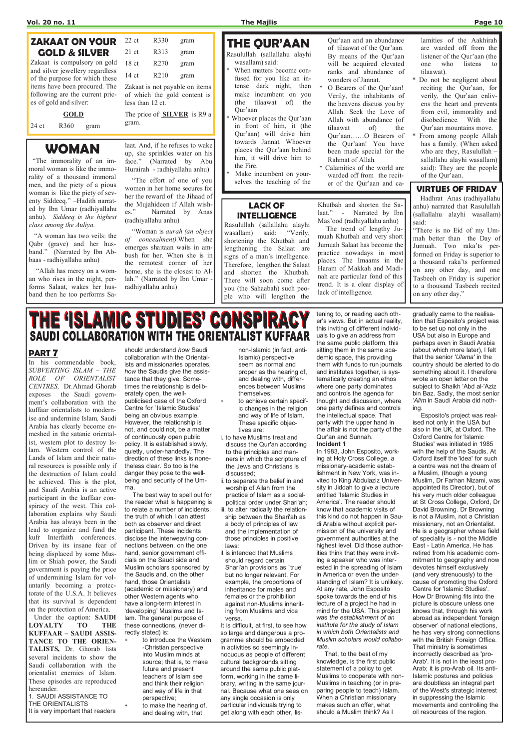### PART 7

In his commendable book, SUBVERTING ISLAM – THE ROLE OF ORIENTALIST CENTRES, Dr.Ahmad Ghorab exposes the Saudi government's collaboration with the kuffaar orientalists to modernise and undermine Islam. Saudi Arabia has clearly become enmeshed in the satanic orientalist, western plot to destroy Islam. Western control of the Lands of Islam and their natural resources is possible only if the destruction of Islam could be achieved. This is the plot, and Saudi Arabia is an active participant in the kuffaar conspiracy of the west. This collaboration explains why Saudi Arabia has always been in the lead to organize and fund the kufr Interfaith conferences. Driven by its insane fear of being displaced by some Muslim or Shiah power, the Saudi government is paying the price of undermining Islam for voluntarily becoming a protectorate of the U.S.A. It believes that its survival is dependent on the protection of America. Under the caption: SAUDI LOYALTY TO THE KUFFAAR – SAUDI ASSIS-TANCE TO THE ORIEN-TALISTS, Dr. Ghorab lists several incidents to show the Saudi collaboration with the orientalist enemies of Islam. These episodes are reproduced

hereunder.

1. SAUDI ASSISTANCE TO THE ORIENTALISTS

It is very important that readers

- to introduce the Western -Christian perspective into Muslim minds at source; that is, to make future and present teachers of Islam see and think their religion and way of life in that perspective;
- to make the hearing of, and dealing with, that

should understand how Saudi collaboration with the Orientalists and missionaries operates, how the Saudis give the assistance that they give. Sometimes the relationship is deliberately open, the wellpublicised case of the Oxford Centre for `Islamic Studies' being an obvious example. However, the relationship is not, and could not, be a matter of continuously open public policy. It is established slowly, quietly, under-handedly. The direction of these links is nonetheless clear. So too is the danger they pose to the wellbeing and security of the Umma.

- to achieve certain specific changes in the religion and way of life of Islam. These specific objectives are:
- i. to have Muslims treat and discuss the Qur'an according to the principles and manners in which the scripture of the Jews and Christians is discussed;
- ii. to separate the belief in and worship of Allah from the practice of Islam as a socialpolitical order under Shari'ah; iii. to alter radically the relationship between the Shari'ah as a body of principles of law

 The best way to spell out for the reader what is happening is to relate a number of incidents, the truth of which I can attest both as observer and direct participant. These incidents disclose the interweaving connections between, on the one hand, senior government officials on the Saudi side and Muslim scholars sponsored by the Saudis and, on the other hand, those Orientalists (academic or missionary) and other Western agents who have a long-term interest in 'developing' Muslims and Islam. The general purpose of these connections, (never directly stated) is:

non-Islamic (in fact, anti-Islamic) perspective seem as normal and proper as the hearing of, and dealing with, differences between Muslims themselves;

and the implementation of those principles in positive laws: it is intended that Muslims

should regard certain

Shari'ah provisions as `true' but no longer relevant. For example, the proportions of inheritance for males and females or the prohibition against non-Muslims inheriting from Muslims and vice versa.

It is difficult, at first, to see how so large and dangerous a programme should be embedded in activities so seemingly innocuous as people of different cultural backgrounds sitting around the same public platform, working in the same library, writing in the same journal. Because what one sees on any single occasion is only particular individuals trying to get along with each other, lis-

- O Bearers of the Qur'aan! Verily, the inhabitants of the heavens discuss you by Allah. Seek the Love of Allah with abundance (of tilaawat of) the Qur'aan……O Bearers of the Qur'aan! You have been made special for the Rahmat of Allah.
- \* Calamities of the world are warded off from the reciter of the Qur'aan and ca-

tening to, or reading each other's views. But in actual reality, this inviting of different individuals to give an address from the same public platform, this sitting them in the same academic space, this providing them with funds to run journals and institutes together, is systematically creating an ethos where one party dominates and controls the agenda for thought and discussion, where one party defines and controls the intellectual space. That party with the upper hand in the affair is not the party of the Qur'an and Sunnah. Incident 1

# INTELLIGENCE Rasulullah (sallallahu alayhi<br>wasallam) said: "Verily,

wasallam) said: shortening the Khutbah and lengthening the Salaat are signs of a man's intelligence. Therefore, lengthen the Salaat and shorten the Khutbah. There will soon come after you (the Sahaabah) such people who will lengthen the

> In 1983, John Esposito, working at Holy Cross College, a missionary-academic establishment in New York, was invited to King Abdulaziz University in Jiddah to give a lecture entitled 'Islamic Studies in America'. The reader should know that academic visits of this kind do not happen in Saudi Arabia without explicit permission of the university and government authorities at the highest level. Did those authorities think that they were inviting a speaker who was interested in the spreading of Islam in America or even the understanding of Islam? It is unlikely. At any rate, John Esposito spoke towards the end of his lecture of a project he had in mind for the USA. This project was the establishment of an institute for the study of Islam in which both Orientalists and Muslim scholars would collaborate. That, to the best of my knowledge, is the first public statement of a policy to get Muslims to cooperate with non-Muslims in teaching (or in preparing people to teach) Islam. When a Christian missionary makes such an offer, what should a Muslim think? As I

The price of **SILVER** is R9 a gram.

> gradually came to the realisation that Esposito's project was to be set up not only in the USA but also in Europe and perhaps even in Saudi Arabia (about which more later), I felt that the senior 'Ulama' in the country should be alerted to do something about it. I therefore wrote an open letter on the subject to Shaikh 'Abd al-'Aziz bin Baz. Sadly, the most senior 'Alim in Saudi Arabia did nothing.

 Esposito's project was realised not only in the USA but also in the UK, at Oxford. The Oxford Centre for 'Islamic Studies' was initiated in 1985 with the help of the Saudis. At Oxford itself the 'idea' for such a centre was not the dream of a Muslim, (though a young Muslim, Dr Farhan Nizami, was appointed its Director), but of his very much older colleague at St Cross College, Oxford, Dr David Browning. Dr Browning is not a Muslim, not a Christian missionary, not an Orientalist. He is a geographer whose field of speciality is - not the Middle East - Latin America. He has retired from his academic commitment to geography and now devotes himself exclusively (and very strenuously) to the cause of promoting the Oxford Centre for 'Islamic Studies'. How Dr Browning fits into the picture is obscure unless one knows that, through his work abroad as independent 'foreign observer' of national elections, he has very strong connections with the British Foreign Office. That ministry is sometimes incorrectly described as 'pro-Arab'. It is not in the least pro-Arab; it is pro-Arab oil. Its anti-Islamic postures and policies are doubtless an integral part of the West's strategic interest in suppressing the Islamic movements and controlling the oil resources of the region.

# THE QUR'AAN

- Rasulullah (sallallahu alayhi wasallam) said:
- When matters become confused for you like an intense dark night, then make incumbent on you (the tilaawat of) the Qur'aan
- Whoever places the Qur'aan in front of him, it (the Qur'aan) will drive him towards Jannat. Whoever places the Qur'aan behind him, it will drive him to the Fire.
- Make incumbent on yourselves the teaching of the

Qur'aan and an abundance of tilaawat of the Qur'aan. By means of the Qur'aan will be acquired elevated ranks and abundance of wonders of Jannat.

lamities of the Aakhirah are warded off from the listener of the Qur'aan (the one who listens to tilaawat).

- \* Do not be negligent about reciting the Qur'aan, for verily, the Qur'aan enlivens the heart and prevents from evil, immorality and disobedience. With the Qur'aan mountains move.
- From among people Allah has a family. (When asked who are they, Rasulullah – sallallahu alayhi wasallam) said): They are the people of the Qur'aan.

### VIRTUES OF FRIDAY

 Hadhrat Anas (radhiyallahu anhu) narrated that Rasulullah (sallallahu alayhi wasallam) said:

"There is no Eid of my Ummah better than the Day of Jumuah. Two raka'ts performed on Friday is superior to a thousand raka'ts performed on any other day, and one Tasbeeh on Friday is superior to a thousand Tasbeeh recited on any other day."

LACK OF

Khutbah and shorten the Salaat." - Narrated by Ibn Mas'ood (radhiyallahu anhu) The trend of lengthy Ju-

muah Khutbah and very short Jumuah Salaat has become the practice nowadays in most places. The Imaams in the Haram of Makkah and Madinah are particular fond of this trend. It is a clear display of lack of intelligence.

# THE 'ISLAMIC STUDIES' CONSPIRACY **SAUDI COLLABORATION WITH THE ORIENTALIST KUFFAAR**

# WOMAN

 "The immorality of an immoral woman is like the immorality of a thousand immoral men, and the piety of a pious woman is like the piety of seventy Siddeeq." –Hadith narrated by Ibn Umar (radhiyallahu anhu). Siddeeq is the highest class among the Auliya.

 "A woman has two veils: the Qabr (grave) and her husband." (Narrated by Ibn Abbaas - radhiyallahu anhu)

 "Allah has mercy on a woman who rises in the night, performs Salaat, wakes her husband then he too performs Sa-

laat. And, if he refuses to wake up, she sprinkles water on his face." (Narrated by Abu Hurairah - radhiyallahu anhu)

 "The effort of one of you women in her home secures for her the reward of the Jihaad of the Mujahideen if Allah wishes." Narrated by Anas (radhiyallahu anhu)

 "Woman is aurah (an object of concealment).When she emerges shaitaan waits in ambush for her. When she is in the remotest corner of her home, she is the closest to Allah." (Narrated by Ibn Umar radhiyallahu anhu)

### ZAKAAT ON YOUR GOLD & SILVER

Zakaat is compulsory on gold and silver jewellery regardless of the purpose for which these items have been procured. The following are the current prices of gold and silver:

### **GOLD**

24 ct R360 gram

## 22 ct R330 gram 21 ct R313 gram 18 ct R270 gram 14 ct R210 gram Zakaat is not payable on items of which the gold content is less than 12 ct.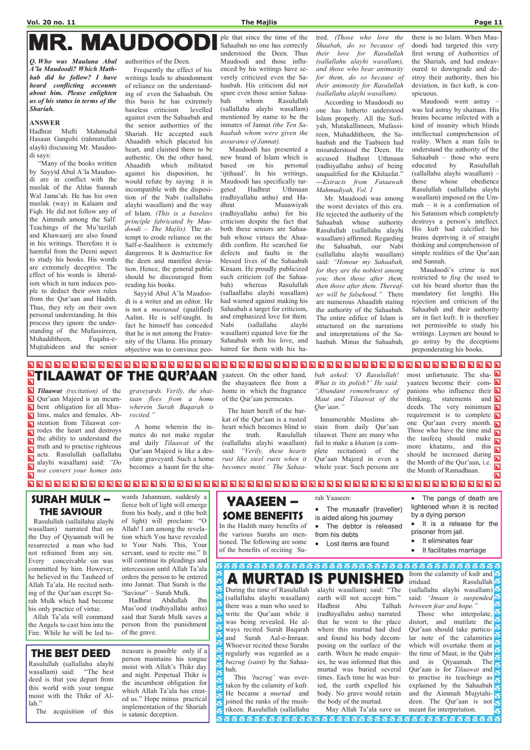# **MAUDOOD**

Q. Who was Maulana Abul A'la Maudoodi? Which Mathhab did he follow? I have heard conflicting accounts about him. Please enlighten us of his status in terms of the Shariah.

### ANSWER

Hadhrat Mufti Mahmudul Hasaan Gangohi (rahmatullah alayh) discussing Mr. Maudoodi says:

 "Many of the books written by Sayyid Abul A'la Maudoodi are in conflict with the maslak of the Ahlus Sunnah Wal Jama'ah. He has his own maslak (way) in Kalaam and Fiqh. He did not follow any of the Aimmah among the Salf. Teachings of the Mu'tazilah and Khawaarij are also found in his writings. Therefore it is harmful from the Deeni aspect to study his books. His words are extremely deceptive. The effect of his words is liberalism which in turn induces people to deduct their own rules from the Qur'aan and Hadith. Thus, they rely on their own personal understanding. In this process they ignore the understanding of the Mufassireen, Muhadditheen, Fuqaha-e-Mujtahideen and the senior

authorities of the Deen.

 Frequently the effect of his writings leads to abandonment of reliance on the understanding of even the Sahaabah. On this basis he has extremely baseless criticism levelled against even the Sahaabah and the senior authorities of the Shariah. He accepted such Ahaadith which placated his heart, and claimed them to be authentic. On the other hand, Ahaadith which militated against his disposition, he would refute by saying it is incompatible with the disposition of the Nabi (sallallahu alayhi wasallam) and the way of Islam. (This is a baseless principle fabricated by Maudoodi – The Majlis). The attempt to erode reliance on the Salf-e-Saaliheen is extremely dangerous. It is destructive for the deen and manifest deviation. Hence, the general public should be discouraged from reading his books.

 Sayyid Abul A'la Maudoodi is a writer and an editor. He is not a mustanad (qualified) Aalim. He is self-taught. In fact he himself has conceded that he is not among the Fraternity of the Ulama. His primary objective was to convince peo-

ple that since the time of the Sahaabah no one has correctly understood the Deen. Thus Maudoodi and those influenced by his writings have severely criticized even the Sahaabah. His criticism did not spare even those senior Sahaabah whom Rasulullah (sallallahu alayhi wasallam) mentioned by name to be the inmates of Jannat (the Ten Sahaabah whom were given the assurance of Jannat).

Maudoodi has presented a new brand of Islam which is based on his personal 'ijtihaad'. In his writings, Maudoodi has specifically targeted Hadhrat Uthmaan (radhiyallahu anhu) and Hadhrat Muaawiyah (radhiyallahu anhu) for his criticism despite the fact that both these seniors are Sahaabah whose virtues the Ahaadith confirm. He searched for defects and faults in the blessed lives of the Sahaabah Kiraam. He proudly publicized such criticism (of the Sahaabah) whereas Rasulullah (sallaallahu alayhi wasallam) had warned against making his Sahaabah a target for criticism, and emphasized love for them. Nabi (sallallahu alayhi wasallam) equated love for the Sahaabah with his love, and hatred for them with his ha-

tred. (Those who love the Shaabah, do so because of their love for Rasulullah (sallallahu alayhi wasallam), and those who bear animosity for them, do so because of their animosity for Rasulullah (sallallahu alayhi wasallam).

According to Maudoodi no one has hitherto understood Islam properly. All the Sufiyah, Mutakallimeen, Mufassireen, Muhadditheen, the Sahaabah and the Taabieen had misunderstood the Deen. He accused Hadhrat Uthmaan (radhiyallahu anhu) of being unqualified for the Khilaafat." ---Extracts from Fataawah Mahmudiyah, Vol. 1

 Mr. Maudoodi was among the worst deviates of this era. He rejected the authority of the Sahaabah whose authority Rasulullah (sallallahu alayhi wasallam) affirmed. Regarding the Sahaabah, our Nabi (sallallahu alayhi wasallam) said: "Honour my Sahaabah, for they are the noblest among you; then those after them, then those after them. Thereafter will be falsehood." There are numerous Ahaadith stating the authority of the Sahaabah. The entire edifice of Islam is structured on the narrations and interpretations of the Sahaabah. Minus the Sahaabah,

### **A MURTAD IS PUNISHED** During the time of Rasulullah (sallallahu alayhi wasallam) there was a man who used to

there is no Islam. When Maudoodi had targeted this very first wrung of Authorities of the Shariah, and had endeavoured to downgrade and destroy their authority, then his deviation, in fact kufr, is conspicuous.

XXXX This 'buzrug' was overtaken by the calamity of kufr. He became a murtad and joined the ranks of the mush-⋚ rikeen. Rasulullah (sallallahu

from the calamity of kufr and  $\sum$ irtidaad. Rasulullah (sallallahu alayhi wasallam) said: "Imaan is suspended between fear and hope."

 Maudoodi went astray – was led astray by shaitaan. His brains became infected with a kind of insanity which blinds intellectual comprehension of reality. When a man fails to understand the authority of the Sahaabah – those who were educated by Rasulullah (sallallahu alayhi wasallam) – those whose obedience Rasulullah (sallallahu alayhi wasallam) imposed on the Ummah – it is a confirmation of his Satanism which completely destroys a person's intellect. His kufr had calcified his brains depriving it of straight thinking and comprehension of simple realities of the Qur'aan and Sunnah.

Those who interpolate,  $\sum$ distort, and mutilate the  $\sum$ Qur'aan should take particu- $\ln$  note of the calamities which will overtake them at the time of Maut, in the Qabr and in Qiyaamah. The Qur'aan is for *Tilaawat* and  $\sum$ to practise its teachings as  $\left\{\right\}$ explained by the Sahaabah and the Aimmah Mujytahideen. The Qur'aan is not meant for interpretation.

 Maudoodi's crime is not restricted to fisq (he used to cut his beard shorter than the mandatory fist length). His rejection and criticism of the Sahaabah and their authority are in fact kufr. It is therefore not permissible to study his writings. Laymen are bound to go astray by the deceptions preponderating his books.

### 

 $\blacksquare$ Tilaawat (recitation) of the  $\blacksquare$ Qur'aan Majeed is an incum- $\blacksquare$ bent obligation for all Muslims, males and females. Ab- $\overline{\mathbf{N}}$  $\overline{\mathbf{N}}$ stention from Tilaawat corrodes the heart and destroys  $\blacksquare$ the ability to understand the  $\overline{\blacksquare}$ truth and to practise righteous  $\blacksquare$ acts. Rasulullah (sallallahu  $\blacksquare$ alayhi wasallam) said: "Do  $\blacksquare$ not convert your homes into  $\overline{\mathbf{N}}$ 

graveyards. Verily, the shaitaan flees from a home wherein Surah Baqarah is recited."

TILAAWAT OF THE QUR'AAN

 A home wherein the inmates do not make regular and daily Tilaawat of the Qur'aan Majeed is like a desolate graveyard. Such a home becomes a haunt for the shayaateen. On the other hand, the shayaateen flee from a home in which the fragrance of the Qur'aan permeates.

 The heart bereft of the barkat of the Qur'aan is a rusted heart which becomes blind to the truth. Rasulullah (sallallahu alayhi wasallam) said: "Verily, these hearts rust like steel rusts when it becomes moist.' The Sahaabah asked: 'O Rasulullah! What is its polish?' He said: "Abundant remembrance of Maut and Tilaawat of the Qur'aan."

 Innumerable Muslims abstain from daily Qur'aan tilaawat. There are many who fail to make a khatam (a complete recitation) of the Qur'aan Majeed in even a whole year. Such persons are

most unfortunate. The sha- $\square$ yaateen become their com- $\square$ panions who influence their  $\blacksquare$ thinking, statements and  $\Box$ deeds. The very minimum  $\Box$ requirement is to complete  $\Box$ one Qur'aan every month. Those who have the time and  $\Box$ the taufeeq should make  $\overline{\phantom{a}}$ more khatams, and this  $\Box$ should be increased during the Month of the Qur'aan, i.e. the Month of Ramadhaan.  $\overline{\blacksquare}$ 

### 

## SURAH MULK – THE SAVIOUR

 Rasulullah (sallallahu alayhi wasallam) narrated that on the Day of Qiyaamah will be resurrected a man who had not refrained from any sin. Every conceivable sin was

committed by him. However, he believed in the Tauheed of Allah Ta'ala. He recited nothing of the Qur'aan except Surah Mulk which had become his only practice of virtue.

 Allah Ta'ala will command the Angels to cast him into the Fire. While he will be led to-

wards Jahannum, suddenly a fierce bolt of light will emerge from his body, and it (the bolt of light) will proclaim: "O Allah! I am among the revelation which You have revealed to Your Nabi. This, Your servant, used to recite me." It will continue its pleadings and

intercession until Allah Ta'ala orders the person to be entered into Jannat. That Surah is the 'Saviour" – Surah Mulk. Hadhrat Abdullah Ibn

Mas'ood (radhiyallahu anhu) said that Surah Mulk saves a person from the punishment of the grave.

# YAASEEN – SOME BENEFITS

In the Hadith many benefits of the various Surahs are mentioned. The following are some of the benefits of reciting Su-

**又** 

医 **MAX**  rah Yaaseen:

- The musaafir (traveller) is aided along his journey
- The debtor is released from his debts
- Lost items are found

• The pangs of death are lightened when it is recited by a dying person

- It is a release for the prisoner from jail.
- It eliminates fear
- It facilitates marriage

write the Qur'aan while it was being revealed. He always recited Surah Baqarah and Surah Aal-e-Imraan. Whoever recited these Surahs regularly was regarded as a buzrug (saint) by the Sahaabah.

alayhi wasallam) said: "The earth will not accept him." Hadhrat Abu Talhah (radhiyallahu anhu) narrated that he went to the place where this murtad had died and found his body decomposing on the surface of the earth. When he made enquiries, he was informed that this murtad was buried several times. Each time he was buried, the earth expelled his body. No grave would retain the body of the murtad.

May Allah Ta'ala save us

## THE BEST DEED

Rasulullah (sallallahu alayhi wasallam) said: "The best deed is that you depart from this world with your tongue moist with the Thikr of Allah."

The acquisition of this

treasure is possible only if a person maintains his tongue moist with Allah's Thikr day and night. Perpetual Thikr is the incumbent obligation for which Allah Ta'ala has created us." Hope minus practical implementation of the Shariah is satanic deception.